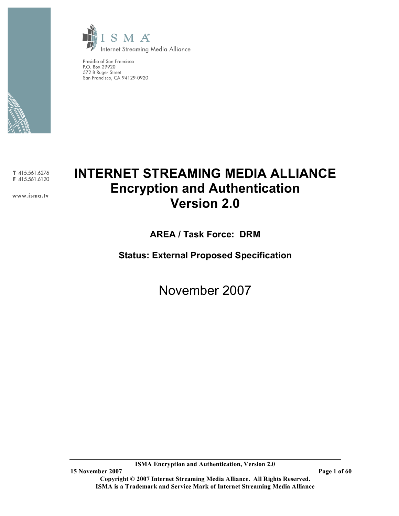



Presidio of San Francisco P.O. Box 29920 572 B Ruger Street San Francisco, CA 94129-0920

T 415.561.6276 F 415.561.6120

www.isma.tv

# **INTERNET STREAMING MEDIA ALLIANCE Encryption and Authentication Version 2.0**

**AREA / Task Force: DRM**

**Status: External Proposed Specification**

November 2007

**ISMA Encryption and Authentication, Version 2.0**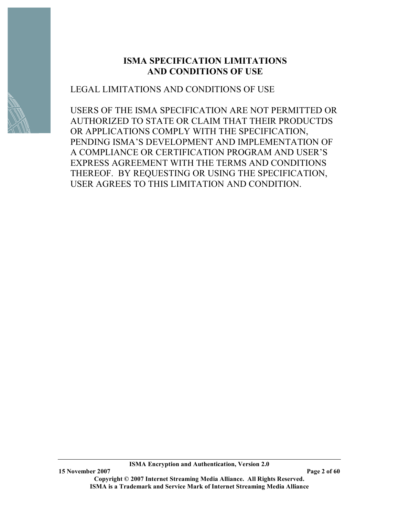# **ISMA SPECIFICATION LIMITATIONS AND CONDITIONS OF USE**

# LEGAL LIMITATIONS AND CONDITIONS OF USE

USERS OF THE ISMA SPECIFICATION ARE NOT PERMITTED OR AUTHORIZED TO STATE OR CLAIM THAT THEIR PRODUCTDS OR APPLICATIONS COMPLY WITH THE SPECIFICATION, PENDING ISMA'S DEVELOPMENT AND IMPLEMENTATION OF A COMPLIANCE OR CERTIFICATION PROGRAM AND USER'S EXPRESS AGREEMENT WITH THE TERMS AND CONDITIONS THEREOF. BY REQUESTING OR USING THE SPECIFICATION, USER AGREES TO THIS LIMITATION AND CONDITION.

**ISMA Encryption and Authentication, Version 2.0**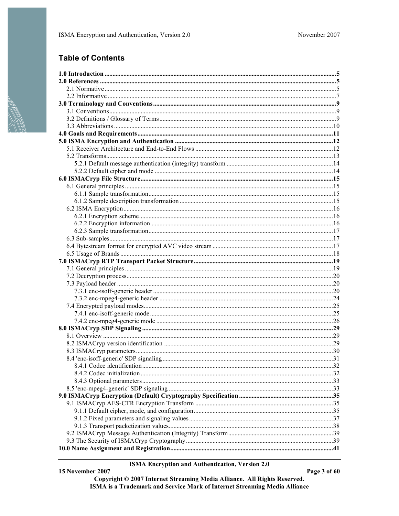# **Table of Contents**

15 November 2007

ISMA Encryption and Authentication, Version 2.0

Page 3 of 60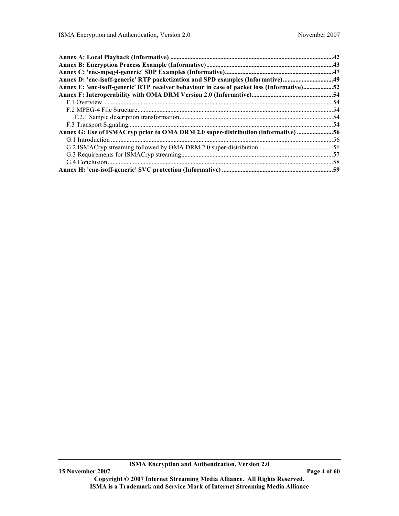| Annex D: 'enc-isoff-generic' RTP packetization and SPD examples (Informative)49            |  |
|--------------------------------------------------------------------------------------------|--|
| Annex E: 'enc-isoff-generic' RTP receiver behaviour in case of packet loss (Informative)52 |  |
|                                                                                            |  |
|                                                                                            |  |
|                                                                                            |  |
|                                                                                            |  |
|                                                                                            |  |
| Annex G: Use of ISMACryp prior to OMA DRM 2.0 super-distribution (informative) 56          |  |
|                                                                                            |  |
|                                                                                            |  |
|                                                                                            |  |
|                                                                                            |  |
|                                                                                            |  |

**15 November 2007 Page 4 of 60**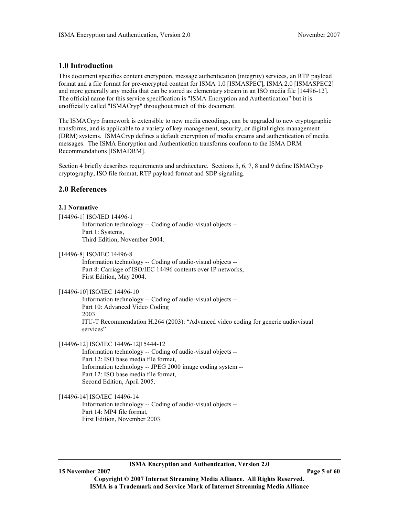# **1.0 Introduction**

This document specifies content encryption, message authentication (integrity) services, an RTP payload format and a file format for pre-encrypted content for ISMA 1.0 [ISMASPEC], ISMA 2.0 [ISMASPEC2] and more generally any media that can be stored as elementary stream in an ISO media file [14496-12]. The official name for this service specification is "ISMA Encryption and Authentication" but it is unofficially called "ISMACryp" throughout much of this document.

The ISMACryp framework is extensible to new media encodings, can be upgraded to new cryptographic transforms, and is applicable to a variety of key management, security, or digital rights management (DRM) systems. ISMACryp defines a default encryption of media streams and authentication of media messages. The ISMA Encryption and Authentication transforms conform to the ISMA DRM Recommendations [ISMADRM].

Section 4 briefly describes requirements and architecture. Sections 5, 6, 7, 8 and 9 define ISMACryp cryptography, ISO file format, RTP payload format and SDP signaling.

# **2.0 References**

# **2.1 Normative**

[14496-1] ISO/IED 14496-1 Information technology -- Coding of audio-visual objects -- Part 1: Systems, Third Edition, November 2004.

[14496-8] ISO/IEC 14496-8

Information technology -- Coding of audio-visual objects -- Part 8: Carriage of ISO/IEC 14496 contents over IP networks, First Edition, May 2004.

[14496-10] ISO/IEC 14496-10

Information technology -- Coding of audio-visual objects -- Part 10: Advanced Video Coding 2003 ITU-T Recommendation H.264 (2003): "Advanced video coding for generic audiovisual services"

[14496-12] ISO/IEC 14496-12|15444-12

Information technology -- Coding of audio-visual objects -- Part 12: ISO base media file format, Information technology -- JPEG 2000 image coding system -- Part 12: ISO base media file format, Second Edition, April 2005.

[14496-14] ISO/IEC 14496-14 Information technology -- Coding of audio-visual objects -- Part 14: MP4 file format, First Edition, November 2003.

**ISMA Encryption and Authentication, Version 2.0**

**Copyright © 2007 Internet Streaming Media Alliance. All Rights Reserved. ISMA is a Trademark and Service Mark of Internet Streaming Media Alliance**

**15 November 2007 Page 5 of 60**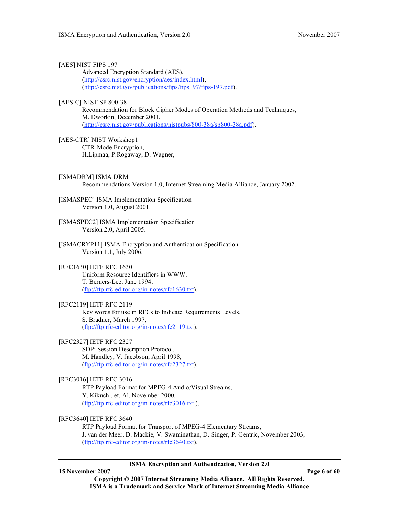| [AES] NIST FIPS 197<br>Advanced Encryption Standard (AES),<br>(http://csrc.nist.gov/encryption/aes/index.html),<br>(http://csrc.nist.gov/publications/fips/fips197/fips-197.pdf).                                                  |
|------------------------------------------------------------------------------------------------------------------------------------------------------------------------------------------------------------------------------------|
| [AES-C] NIST SP 800-38<br>Recommendation for Block Cipher Modes of Operation Methods and Techniques,<br>M. Dworkin, December 2001,<br>(http://csrc.nist.gov/publications/nistpubs/800-38a/sp800-38a.pdf).                          |
| [AES-CTR] NIST Workshop1<br>CTR-Mode Encryption,<br>H.Lipmaa, P.Rogaway, D. Wagner,                                                                                                                                                |
| [ISMADRM] ISMA DRM<br>Recommendations Version 1.0, Internet Streaming Media Alliance, January 2002.                                                                                                                                |
| [ISMASPEC] ISMA Implementation Specification<br>Version 1.0, August 2001.                                                                                                                                                          |
| [ISMASPEC2] ISMA Implementation Specification<br>Version 2.0, April 2005.                                                                                                                                                          |
| [ISMACRYP11] ISMA Encryption and Authentication Specification<br>Version 1.1, July 2006.                                                                                                                                           |
| [RFC1630] IETF RFC 1630<br>Uniform Resource Identifiers in WWW,<br>T. Berners-Lee, June 1994,<br>$(\frac{ftp}{//ftp}$ .rfc-editor.org/in-notes/rfc1630.txt).                                                                       |
| [RFC2119] IETF RFC 2119<br>Key words for use in RFCs to Indicate Requirements Levels,<br>S. Bradner, March 1997,<br>(ftp://ftp.rfc-editor.org/in-notes/rfc2119.txt).                                                               |
| [RFC2327] IETF RFC 2327<br>SDP: Session Description Protocol,<br>M. Handley, V. Jacobson, April 1998,<br>$(\frac{ftp}{//ftp}.\frac{rfc\text{-}editor.org/in-notes/rfc2327.txt).$                                                   |
| [RFC3016] IETF RFC 3016<br>RTP Payload Format for MPEG-4 Audio/Visual Streams,<br>Y. Kikuchi, et. Al, November 2000,<br>(ftp://ftp.rfc-editor.org/in-notes/rfc3016.txt).                                                           |
| [RFC3640] IETF RFC 3640<br>RTP Payload Format for Transport of MPEG-4 Elementary Streams,<br>J. van der Meer, D. Mackie, V. Swaminathan, D. Singer, P. Gentric, November 2003,<br>(ftp://ftp.rfc-editor.org/in-notes/rfc3640.txt). |
|                                                                                                                                                                                                                                    |

# **15 November 2007 Page 6 of 60**

**ISMA Encryption and Authentication, Version 2.0**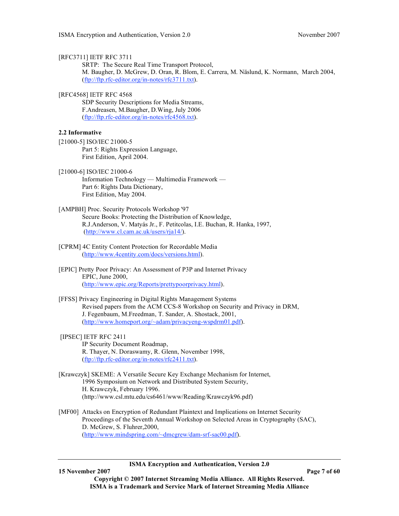### [RFC3711] IETF RFC 3711

SRTP: The Secure Real Time Transport Protocol, M. Baugher, D. McGrew, D. Oran, R. Blom, E. Carrera, M. Näslund, K. Normann, March 2004, (ftp://ftp.rfc-editor.org/in-notes/rfc3711.txt).

[RFC4568] IETF RFC 4568

SDP Security Descriptions for Media Streams, F.Andreasen, M.Baugher, D.Wing, July 2006 (ftp://ftp.rfc-editor.org/in-notes/rfc4568.txt).

# **2.2 Informative**

- [21000-5] ISO/IEC 21000-5 Part 5: Rights Expression Language, First Edition, April 2004.
- [21000-6] ISO/IEC 21000-6 Information Technology — Multimedia Framework — Part 6: Rights Data Dictionary, First Edition, May 2004.
- [AMPBH] Proc. Security Protocols Workshop '97 Secure Books: Protecting the Distribution of Knowledge, R.J.Anderson, V. Matyás Jr., F. Petitcolas, I.E. Buchan, R. Hanka, 1997, (http://www.cl.cam.ac.uk/users/rja14/).
- [CPRM] 4C Entity Content Protection for Recordable Media (http://www.4centity.com/docs/versions.html).
- [EPIC] Pretty Poor Privacy: An Assessment of P3P and Internet Privacy EPIC, June 2000, (http://www.epic.org/Reports/prettypoorprivacy.html).
- [FFSS] Privacy Engineering in Digital Rights Management Systems Revised papers from the ACM CCS-8 Workshop on Security and Privacy in DRM, J. Fegenbaum, M.Freedman, T. Sander, A. Shostack, 2001, (http://www.homeport.org/~adam/privacyeng-wspdrm01.pdf).
- [IPSEC] IETF RFC 2411 IP Security Document Roadmap, R. Thayer, N. Doraswamy, R. Glenn, November 1998, (ftp://ftp.rfc-editor.org/in-notes/rfc2411.txt).
- [Krawczyk] SKEME: A Versatile Secure Key Exchange Mechanism for Internet, 1996 Symposium on Network and Distributed System Security, H. Krawczyk, February 1996. (http://www.csl.mtu.edu/cs6461/www/Reading/Krawczyk96.pdf)
- [MF00] Attacks on Encryption of Redundant Plaintext and Implications on Internet Security Proceedings of the Seventh Annual Workshop on Selected Areas in Cryptography (SAC), D. McGrew, S. Fluhrer,2000, (http://www.mindspring.com/~dmcgrew/dam-srf-sac00.pdf).

**ISMA Encryption and Authentication, Version 2.0**

**15 November 2007 Page 7 of 60**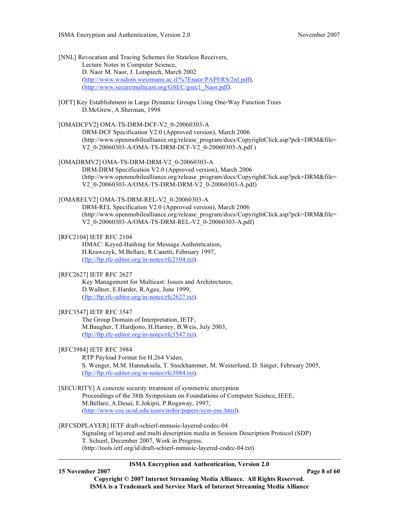| <b>ISMA Encryption and Authentication, Version 2.0</b>                                                                                                                                                                                                                     |  |
|----------------------------------------------------------------------------------------------------------------------------------------------------------------------------------------------------------------------------------------------------------------------------|--|
| [RFCSDPLAYER] IETF draft-schierl-mmusic-layered-codec-04<br>Signaling of layered and multi description media in Session Description Protocol (SDP)<br>T. Schierl, December 2007, Work in Progress.<br>(http://tools.ietf.org/id/draft-schierl-mmusic-layered-codec-04.txt) |  |
| [SECURITY] A concrete security treatment of symmetric encryption<br>Proceedings of the 38th Symposium on Foundations of Computer Science, IEEE,<br>M.Bellare, A.Desai, E.Jokipii, P.Rogaway, 1997,<br>(http://www-cse.ucsd.edu/users/mihir/papers/sym-enc.html).           |  |
| [RFC3984] IETF RFC 3984<br>RTP Payload Format for H.264 Video,<br>S. Wenger, M.M. Hannuksela, T. Stockhammer, M. Westerlund, D. Singer, February 2005,<br>(ftp://ftp.rfc-editor.org/in-notes/rfc3984.txt).                                                                 |  |
| [RFC3547] IETF RFC 3547<br>The Group Domain of Interpretation, IETF,<br>M.Baugher, T.Hardjono, H.Harney, B.Weis, July 2003,<br>(ftp://ftp.rfc-editor.org/in-notes/rfc3547.txt).                                                                                            |  |
| [RFC2627] IETF RFC 2627<br>Key Management for Multicast: Issues and Architectures,<br>D.Wallner, E.Harder, R.Agee, June 1999,<br>(ftp://ftp.rfc-editor.org/in-notes/rfc2627.txt).                                                                                          |  |
| [RFC2104] IETF RFC 2104<br>HMAC: Keyed-Hashing for Message Authentication,<br>H.Krawczyk, M.Bellare, R.Canetti, February 1997,<br>(ftp://ftp.rfc-editor.org/in-notes/rfc2104.txt).                                                                                         |  |
| [OMARELV2] OMA-TS-DRM-REL-V2 0-20060303-A<br>DRM-REL Specification V2.0 (Approved version), March 2006<br>(http://www.openmobilealliance.org/release_program/docs/CopyrightClick.asp?pck=DRM&file=<br>V2_0-20060303-A/OMA-TS-DRM-REL-V2_0-20060303-A.pdf)                  |  |
| [OMADRMV2] OMA-TS-DRM-DRM-V2 0-20060303-A<br>DRM-DRM Specification V2.0 (Approved version), March 2006<br>(http://www.openmobilealliance.org/release_program/docs/CopyrightClick.asp?pck=DRM&file=<br>V2 0-20060303-A/OMA-TS-DRM-DRM-V2 0-20060303-A.pdf)                  |  |
| [OMADCFV2] OMA-TS-DRM-DCF-V2_0-20060303-A<br>DRM-DCF Specification V2.0 (Approved version), March 2006<br>(http://www.openmobilealliance.org/release_program/docs/CopyrightClick.asp?pck=DRM&file=<br>V2_0-20060303-A/OMA-TS-DRM-DCF-V2_0-20060303-A.pdf)                  |  |
| [OFT] Key Establishment in Large Dynamic Groups Using One-Way Function Trees<br>D.McGrew, A.Sherman, 1998                                                                                                                                                                  |  |
| [NNL] Revocation and Tracing Schemes for Stateless Receivers,<br>Lecture Notes in Computer Science,<br>D. Naor M. Naor, J. Lotspiech, March 2002<br>(http://www.wisdom.weizmann.ac.il/%7Enaor/PAPERS/2nl.pdf),<br>(http://www.securemulticast.org/GSEC/gsec1_Naor.pdf).    |  |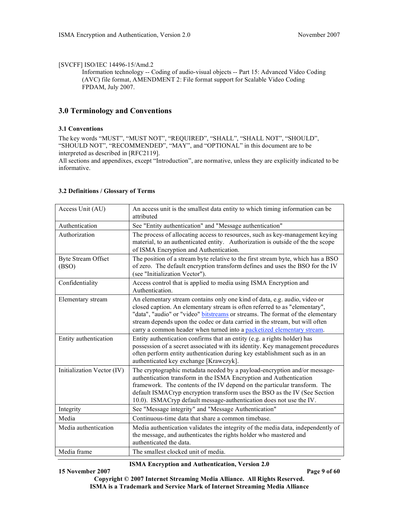### [SVCFF] ISO/IEC 14496-15/Amd.2

Information technology -- Coding of audio-visual objects -- Part 15: Advanced Video Coding (AVC) file format, AMENDMENT 2: File format support for Scalable Video Coding FPDAM, July 2007.

# **3.0 Terminology and Conventions**

## **3.1 Conventions**

The key words "MUST", "MUST NOT", "REQUIRED", "SHALL", "SHALL NOT", "SHOULD", "SHOULD NOT", "RECOMMENDED", "MAY", and "OPTIONAL" in this document are to be interpreted as described in [RFC2119].

All sections and appendixes, except "Introduction", are normative, unless they are explicitly indicated to be informative.

| Access Unit (AU)                   | An access unit is the smallest data entity to which timing information can be<br>attributed                                                                                                                                                                                                                                                                                                        |
|------------------------------------|----------------------------------------------------------------------------------------------------------------------------------------------------------------------------------------------------------------------------------------------------------------------------------------------------------------------------------------------------------------------------------------------------|
| Authentication                     | See "Entity authentication" and "Message authentication"                                                                                                                                                                                                                                                                                                                                           |
| Authorization                      | The process of allocating access to resources, such as key-management keying<br>material, to an authenticated entity. Authorization is outside of the the scope<br>of ISMA Encryption and Authentication.                                                                                                                                                                                          |
| <b>Byte Stream Offset</b><br>(BSO) | The position of a stream byte relative to the first stream byte, which has a BSO<br>of zero. The default encryption transform defines and uses the BSO for the IV<br>(see "Initialization Vector").                                                                                                                                                                                                |
| Confidentiality                    | Access control that is applied to media using ISMA Encryption and<br>Authentication.                                                                                                                                                                                                                                                                                                               |
| Elementary stream                  | An elementary stream contains only one kind of data, e.g. audio, video or<br>closed caption. An elementary stream is often referred to as "elementary",<br>"data", "audio" or "video" bitstreams or streams. The format of the elementary<br>stream depends upon the codec or data carried in the stream, but will often<br>carry a common header when turned into a packetized elementary stream. |
| Entity authentication              | Entity authentication confirms that an entity (e.g. a rights holder) has<br>possession of a secret associated with its identity. Key management procedures<br>often perform entity authentication during key establishment such as in an<br>authenticated key exchange [Krawczyk].                                                                                                                 |
| Initialization Vector (IV)         | The cryptographic metadata needed by a payload-encryption and/or message-<br>authentication transform in the ISMA Encryption and Authentication<br>framework. The contents of the IV depend on the particular transform. The<br>default ISMACryp encryption transform uses the BSO as the IV (See Section<br>10.0). ISMACryp default message-authentication does not use the IV.                   |
| Integrity                          | See "Message integrity" and "Message Authentication"                                                                                                                                                                                                                                                                                                                                               |
| Media                              | Continuous-time data that share a common timebase.                                                                                                                                                                                                                                                                                                                                                 |
| Media authentication               | Media authentication validates the integrity of the media data, independently of<br>the message, and authenticates the rights holder who mastered and<br>authenticated the data.                                                                                                                                                                                                                   |
| Media frame                        | The smallest clocked unit of media.                                                                                                                                                                                                                                                                                                                                                                |

#### **3.2 Definitions / Glossary of Terms**

# **ISMA Encryption and Authentication, Version 2.0**

#### **15 November 2007 Page 9 of 60**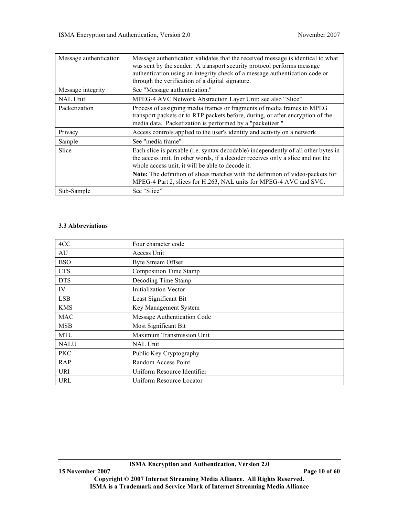| Message authentication | Message authentication validates that the received message is identical to what<br>was sent by the sender. A transport security protocol performs message<br>authentication using an integrity check of a message authentication code or<br>through the verification of a digital signature. |
|------------------------|----------------------------------------------------------------------------------------------------------------------------------------------------------------------------------------------------------------------------------------------------------------------------------------------|
| Message integrity      | See "Message authentication."                                                                                                                                                                                                                                                                |
| NAL Unit               | MPEG-4 AVC Network Abstraction Layer Unit; see also "Slice"                                                                                                                                                                                                                                  |
| Packetization          | Process of assigning media frames or fragments of media frames to MPEG<br>transport packets or to RTP packets before, during, or after encryption of the<br>media data. Packetization is performed by a "packetizer."                                                                        |
| Privacy                | Access controls applied to the user's identity and activity on a network.                                                                                                                                                                                                                    |
| Sample                 | See "media frame"                                                                                                                                                                                                                                                                            |
| Slice                  | Each slice is parsable (i.e. syntax decodable) independently of all other bytes in<br>the access unit. In other words, if a decoder receives only a slice and not the<br>whole access unit, it will be able to decode it.                                                                    |
|                        | Note: The definition of slices matches with the definition of video-packets for<br>MPEG-4 Part 2, slices for H.263, NAL units for MPEG-4 AVC and SVC.                                                                                                                                        |
| Sub-Sample             | See "Slice"                                                                                                                                                                                                                                                                                  |

# **3.3 Abbreviations**

| 4CC         | Four character code           |  |
|-------------|-------------------------------|--|
| AU          | Access Unit                   |  |
| <b>BSO</b>  | <b>Byte Stream Offset</b>     |  |
| <b>CTS</b>  | <b>Composition Time Stamp</b> |  |
| <b>DTS</b>  | Decoding Time Stamp           |  |
| IV          | <b>Initialization Vector</b>  |  |
| <b>LSB</b>  | Least Significant Bit         |  |
| <b>KMS</b>  | Key Management System         |  |
| <b>MAC</b>  | Message Authentication Code   |  |
| <b>MSB</b>  | Most Significant Bit          |  |
| <b>MTU</b>  | Maximum Transmission Unit     |  |
| <b>NALU</b> | <b>NAL Unit</b>               |  |
| <b>PKC</b>  | Public Key Cryptography       |  |
| RAP         | Random Access Point           |  |
| <b>URI</b>  | Uniform Resource Identifier   |  |
| <b>URL</b>  | Uniform Resource Locator      |  |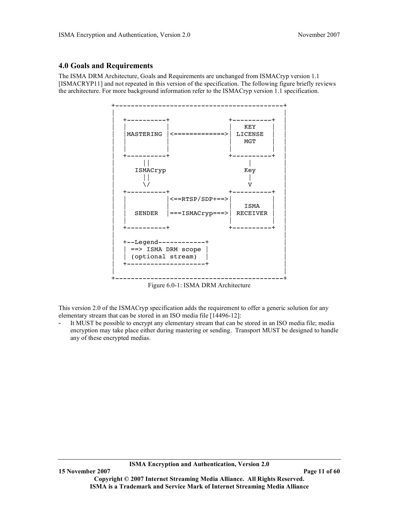# **4.0 Goals and Requirements**

The ISMA DRM Architecture, Goals and Requirements are unchanged from ISMACryp version 1.1 [ISMACRYP11] and not repeated in this version of the specification. The following figure briefly reviews the architecture. For more background information refer to the ISMACryp version 1.1 specification.



Figure 6.0-1: ISMA DRM Architecture

This version 2.0 of the ISMACryp specification adds the requirement to offer a generic solution for any elementary stream that can be stored in an ISO media file [14496-12]:

It MUST be possible to encrypt any elementary stream that can be stored in an ISO media file; media encryption may take place either during mastering or sending. Transport MUST be designed to handle any of these encrypted medias.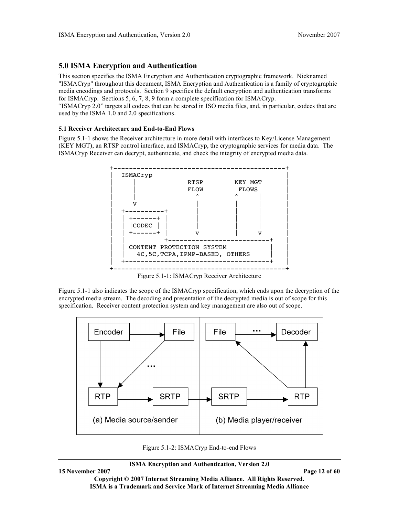# **5.0 ISMA Encryption and Authentication**

This section specifies the ISMA Encryption and Authentication cryptographic framework. Nicknamed "ISMACryp" throughout this document, ISMA Encryption and Authentication is a family of cryptographic media encodings and protocols. Section 9 specifies the default encryption and authentication transforms for ISMACryp. Sections 5, 6, 7, 8, 9 form a complete specification for ISMACryp. "ISMACryp 2.0" targets all codecs that can be stored in ISO media files, and, in particular, codecs that are used by the ISMA 1.0 and 2.0 specifications.

# **5.1 Receiver Architecture and End-to-End Flows**

Figure 5.1-1 shows the Receiver architecture in more detail with interfaces to Key/License Management (KEY MGT), an RTSP control interface, and ISMACryp, the cryptographic services for media data. The ISMACryp Receiver can decrypt, authenticate, and check the integrity of encrypted media data.



Figure 5.1-1: ISMACryp Receiver Architecture

Figure 5.1-1 also indicates the scope of the ISMACryp specification, which ends upon the decryption of the encrypted media stream. The decoding and presentation of the decrypted media is out of scope for this specification. Receiver content protection system and key management are also out of scope.



Figure 5.1-2: ISMACryp End-to-end Flows

#### **ISMA Encryption and Authentication, Version 2.0**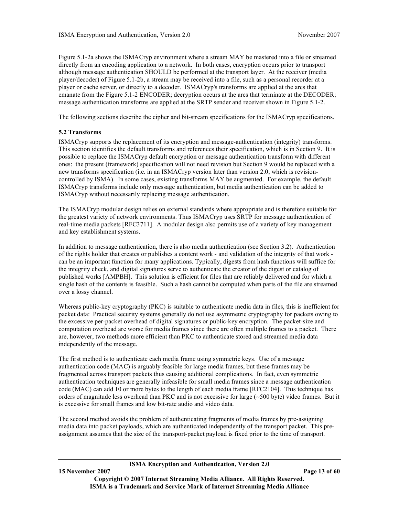Figure 5.1-2a shows the ISMACryp environment where a stream MAY be mastered into a file or streamed directly from an encoding application to a network. In both cases, encryption occurs prior to transport although message authentication SHOULD be performed at the transport layer. At the receiver (media player/decoder) of Figure 5.1-2b, a stream may be received into a file, such as a personal recorder at a player or cache server, or directly to a decoder. ISMACryp's transforms are applied at the arcs that emanate from the Figure 5.1-2 ENCODER; decryption occurs at the arcs that terminate at the DECODER; message authentication transforms are applied at the SRTP sender and receiver shown in Figure 5.1-2.

The following sections describe the cipher and bit-stream specifications for the ISMACryp specifications.

#### **5.2 Transforms**

ISMACryp supports the replacement of its encryption and message-authentication (integrity) transforms. This section identifies the default transforms and references their specification, which is in Section 9. It is possible to replace the ISMACryp default encryption or message authentication transform with different ones: the present (framework) specification will not need revision but Section 9 would be replaced with a new transforms specification (i.e. in an ISMACryp version later than version 2.0, which is revisioncontrolled by ISMA). In some cases, existing transforms MAY be augmented. For example, the default ISMACryp transforms include only message authentication, but media authentication can be added to ISMACryp without necessarily replacing message authentication.

The ISMACryp modular design relies on external standards where appropriate and is therefore suitable for the greatest variety of network environments. Thus ISMACryp uses SRTP for message authentication of real-time media packets [RFC3711]. A modular design also permits use of a variety of key management and key establishment systems.

In addition to message authentication, there is also media authentication (see Section 3.2). Authentication of the rights holder that creates or publishes a content work - and validation of the integrity of that work can be an important function for many applications. Typically, digests from hash functions will suffice for the integrity check, and digital signatures serve to authenticate the creator of the digest or catalog of published works [AMPBH]. This solution is efficient for files that are reliably delivered and for which a single hash of the contents is feasible. Such a hash cannot be computed when parts of the file are streamed over a lossy channel.

Whereas public-key cryptography (PKC) is suitable to authenticate media data in files, this is inefficient for packet data: Practical security systems generally do not use asymmetric cryptography for packets owing to the excessive per-packet overhead of digital signatures or public-key encryption. The packet-size and computation overhead are worse for media frames since there are often multiple frames to a packet. There are, however, two methods more efficient than PKC to authenticate stored and streamed media data independently of the message.

The first method is to authenticate each media frame using symmetric keys. Use of a message authentication code (MAC) is arguably feasible for large media frames, but these frames may be fragmented across transport packets thus causing additional complications. In fact, even symmetric authentication techniques are generally infeasible for small media frames since a message authentication code (MAC) can add 10 or more bytes to the length of each media frame [RFC2104]. This technique has orders of magnitude less overhead than PKC and is not excessive for large  $(\sim 500$  byte) video frames. But it is excessive for small frames and low bit-rate audio and video data.

The second method avoids the problem of authenticating fragments of media frames by pre-assigning media data into packet payloads, which are authenticated independently of the transport packet. This preassignment assumes that the size of the transport-packet payload is fixed prior to the time of transport.

**ISMA Encryption and Authentication, Version 2.0**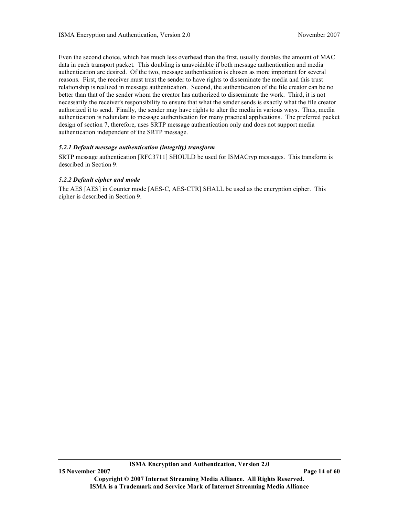Even the second choice, which has much less overhead than the first, usually doubles the amount of MAC data in each transport packet. This doubling is unavoidable if both message authentication and media authentication are desired. Of the two, message authentication is chosen as more important for several reasons. First, the receiver must trust the sender to have rights to disseminate the media and this trust relationship is realized in message authentication. Second, the authentication of the file creator can be no better than that of the sender whom the creator has authorized to disseminate the work. Third, it is not necessarily the receiver's responsibility to ensure that what the sender sends is exactly what the file creator authorized it to send. Finally, the sender may have rights to alter the media in various ways. Thus, media authentication is redundant to message authentication for many practical applications. The preferred packet design of section 7, therefore, uses SRTP message authentication only and does not support media authentication independent of the SRTP message.

# *5.2.1 Default message authentication (integrity) transform*

SRTP message authentication [RFC3711] SHOULD be used for ISMACryp messages. This transform is described in Section 9.

#### *5.2.2 Default cipher and mode*

The AES [AES] in Counter mode [AES-C, AES-CTR] SHALL be used as the encryption cipher. This cipher is described in Section 9.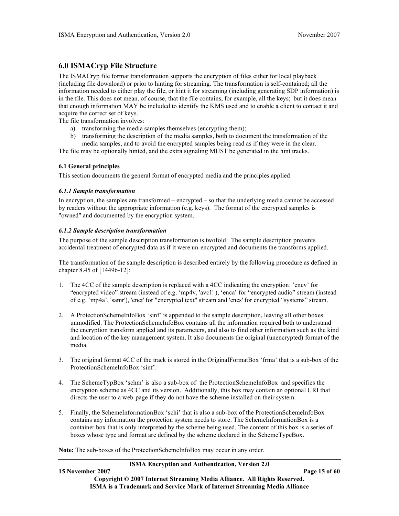# **6.0 ISMACryp File Structure**

The ISMACryp file format transformation supports the encryption of files either for local playback (including file download) or prior to hinting for streaming. The transformation is self-contained; all the information needed to either play the file, or hint it for streaming (including generating SDP information) is in the file. This does not mean, of course, that the file contains, for example, all the keys; but it does mean that enough information MAY be included to identify the KMS used and to enable a client to contact it and acquire the correct set of keys.

The file transformation involves:

- a) transforming the media samples themselves (encrypting them);
- b) transforming the description of the media samples, both to document the transformation of the media samples, and to avoid the encrypted samples being read as if they were in the clear.

The file may be optionally hinted, and the extra signaling MUST be generated in the hint tracks.

#### **6.1 General principles**

This section documents the general format of encrypted media and the principles applied.

#### *6.1.1 Sample transformation*

In encryption, the samples are transformed – encrypted – so that the underlying media cannot be accessed by readers without the appropriate information (e.g. keys). The format of the encrypted samples is "owned" and documented by the encryption system.

#### *6.1.2 Sample description transformation*

The purpose of the sample description transformation is twofold: The sample description prevents accidental treatment of encrypted data as if it were un-encrypted and documents the transforms applied.

The transformation of the sample description is described entirely by the following procedure as defined in chapter 8.45 of [14496-12]:

- 1. The 4CC of the sample description is replaced with a 4CC indicating the encryption: 'encv' for "encrypted video" stream (instead of e.g. 'mp4v, 'avc1' ), 'enca' for "encrypted audio" stream (instead of e.g. 'mp4a', 'samr'), 'enct' for "encrypted text" stream and 'encs' for encrypted "systems" stream.
- 2. A ProtectionSchemeInfoBox 'sinf' is appended to the sample description, leaving all other boxes unmodified. The ProtectionSchemeInfoBox contains all the information required both to understand the encryption transform applied and its parameters, and also to find other information such as the kind and location of the key management system. It also documents the original (unencrypted) format of the media.
- 3. The original format 4CC of the track is stored in the OriginalFormatBox 'frma' that is a sub-box of the ProtectionSchemeInfoBox 'sinf'.
- 4. The SchemeTypBox 'schm' is also a sub-box of the ProtectionSchemeInfoBox and specifies the encryption scheme as 4CC and its version. Additionally, this box may contain an optional URI that directs the user to a web-page if they do not have the scheme installed on their system.
- 5. Finally, the SchemeInformationBox 'schi' that is also a sub-box of the ProtectionSchemeInfoBox contains any information the protection system needs to store. The SchemeInformationBox is a container box that is only interpreted by the scheme being used. The content of this box is a series of boxes whose type and format are defined by the scheme declared in the SchemeTypeBox.

**Note:** The sub-boxes of the ProtectionSchemeInfoBox may occur in any order.

#### **ISMA Encryption and Authentication, Version 2.0**

**15 November 2007 Page 15 of 60**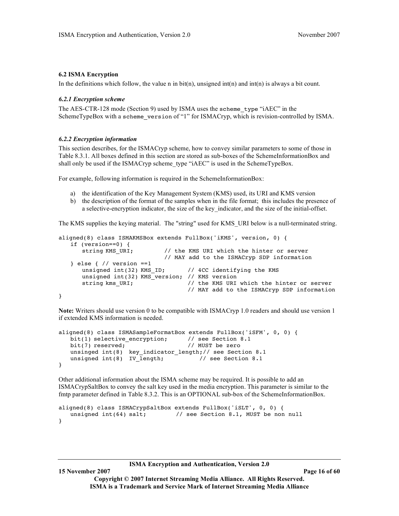#### **6.2 ISMA Encryption**

In the definitions which follow, the value n in bit(n), unsigned  $int(n)$  and  $int(n)$  is always a bit count.

#### *6.2.1 Encryption scheme*

The AES-CTR-128 mode (Section 9) used by ISMA uses the scheme\_type "iAEC" in the SchemeTypeBox with a scheme\_version of "1" for ISMACryp, which is revision-controlled by ISMA.

#### *6.2.2 Encryption information*

This section describes, for the ISMACryp scheme, how to convey similar parameters to some of those in Table 8.3.1. All boxes defined in this section are stored as sub-boxes of the SchemeInformationBox and shall only be used if the ISMACryp scheme type "iAEC" is used in the SchemeTypeBox.

For example, following information is required in the SchemeInformationBox:

- a) the identification of the Key Management System (KMS) used, its URI and KMS version
- b) the description of the format of the samples when in the file format; this includes the presence of a selective-encryption indicator, the size of the key\_indicator, and the size of the initial-offset.

The KMS supplies the keying material. The "string" used for KMS\_URI below is a null-terminated string.

```
aligned(8) class ISMAKMSBox extends FullBox('iKMS', version, 0) {
   if (version==0) {
       string KMS URI; \frac{1}{2} // the KMS URI which the hinter or server
                               // MAY add to the ISMACryp SDP information
   } else { // version ==1<br>unsigned int(32) KMS ID;
                                    // 4CC identifying the KMS
      unsigned int(32) KMS version; // KMS version
      string kms URI; \frac{1}{2} // the KMS URI which the hinter or server
                                      // MAY add to the ISMACryp SDP information
}
```

```
Note: Writers should use version 0 to be compatible with ISMACryp 1.0 readers and should use version 1
if extended KMS information is needed.
```

```
aligned(8) class ISMASampleFormatBox extends FullBox('iSFM', 0, 0) {
   bit(1) selective encryption; // see Section 8.1
   bit(7) reserved; \frac{1}{2} // MUST be zero
   unsinged int(8) key indicator length;// see Section 8.1
   unsigned int(8) IV_length; // see Section 8.1
}
```
Other additional information about the ISMA scheme may be required. It is possible to add an ISMACrypSaltBox to convey the salt key used in the media encryption. This parameter is similar to the fmtp parameter defined in Table 8.3.2. This is an OPTIONAL sub-box of the SchemeInformationBox.

```
aligned(8) class ISMACrypSaltBox extends FullBox('iSLT', 0, 0) {
   unsigned int(64) salt; // see Section 8.1, MUST be non null
}
```
**ISMA Encryption and Authentication, Version 2.0**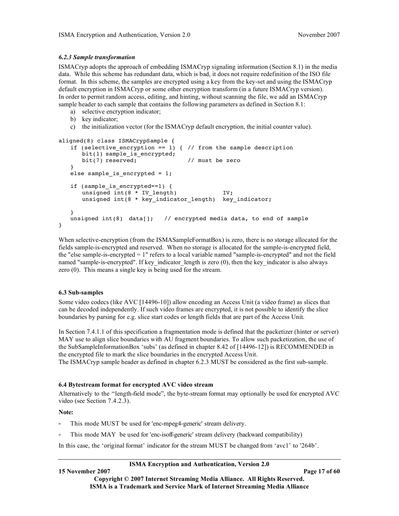#### *6.2.3 Sample transformation*

ISMACryp adopts the approach of embedding ISMACryp signaling information (Section 8.1) in the media data. While this scheme has redundant data, which is bad, it does not require redefinition of the ISO file format. In this scheme, the samples are encrypted using a key from the key-set and using the ISMACryp default encryption in ISMACryp or some other encryption transform (in a future ISMACryp version). In order to permit random access, editing, and hinting, without scanning the file, we add an ISMACryp sample header to each sample that contains the following parameters as defined in Section 8.1:

- a) selective encryption indicator;
- b) key indicator;
- c) the initialization vector (for the ISMACryp default encryption, the initial counter value).

```
aligned(8) class ISMACrypSample {
   if (selective_encryption == 1) { // from the sample description
      bit(1) sample_is_encrypted;
      bit(7) reserved; \frac{1}{2} // must be zero
   }
   else sample_is_encrypted = 1;
   if (sample_is_encrypted==1) {
      unsigned int(8 * IV length) IV;
      unsigned int(8 * key_indicator_length) key_indicator;
   }
   unsigned int(8) data[]; // encrypted media data, to end of sample
}
```
When selective-encryption (from the ISMASampleFormatBox) is zero, there is no storage allocated for the fields sample-is-encrypted and reserved. When no storage is allocated for the sample-is-encrypted field, the "else sample-is-encrypted = 1" refers to a local variable named "sample-is-encrypted" and not the field named "sample-is-encrypted". If key indicator length is zero (0), then the key indicator is also always zero (0). This means a single key is being used for the stream.

#### **6.3 Sub-samples**

Some video codecs (like AVC [14496-10]) allow encoding an Access Unit (a video frame) as slices that can be decoded independently. If such video frames are encrypted, it is not possible to identify the slice boundaries by parsing for e.g. slice start codes or length fields that are part of the Access Unit.

In Section 7.4.1.1 of this specification a fragmentation mode is defined that the packetizer (hinter or server) MAY use to align slice boundaries with AU fragment boundaries. To allow such packetization, the use of the SubSampleInformationBox 'subs' (as defined in chapter 8.42 of [14496-12]) is RECOMMENDED in the encrypted file to mark the slice boundaries in the encrypted Access Unit.

The ISMACryp sample header as defined in chapter 6.2.3 MUST be considered as the first sub-sample.

#### **6.4 Bytestream format for encrypted AVC video stream**

Alternatively to the "length-field mode", the byte-stream format may optionally be used for encrypted AVC video (see Section 7.4.2.3).

#### **Note:**

- This mode MUST be used for 'enc-mpeg4-generic' stream delivery.
- This mode MAY be used for 'enc-isoff-generic' stream delivery (backward compatibility)

In this case, the 'original format' indicator for the stream MUST be changed from 'avc1' to '264b'.

#### **ISMA Encryption and Authentication, Version 2.0**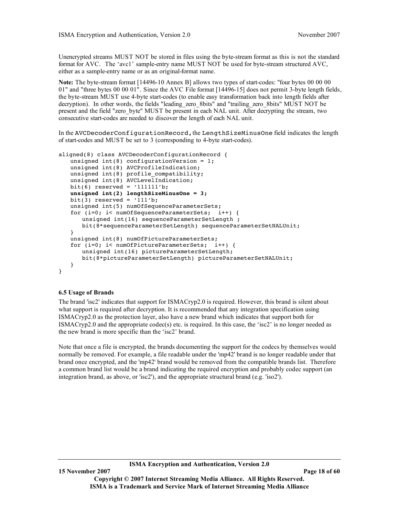Unencrypted streams MUST NOT be stored in files using the byte-stream format as this is not the standard format for AVC. The 'avc1' sample-entry name MUST NOT be used for byte-stream structured AVC, either as a sample-entry name or as an original-format name.

**Note:** The byte-stream format [14496-10 Annex B] allows two types of start-codes: "four bytes 00 00 00 01" and "three bytes 00 00 01". Since the AVC File format [14496-15] does not permit 3-byte length fields, the byte-stream MUST use 4-byte start-codes (to enable easy transformation back into length fields after decryption). In other words, the fields "leading zero 8bits" and "trailing zero 8bits" MUST NOT be present and the field "zero\_byte" MUST be present in each NAL unit. After decrypting the stream, two consecutive start-codes are needed to discover the length of each NAL unit.

In the AVCDecoderConfigurationRecord, the LengthSizeMinusOne field indicates the length of start-codes and MUST be set to 3 (corresponding to 4-byte start-codes).

```
aligned(8) class AVCDecoderConfigurationRecord {
   unsigned int(8) configurationVersion = 1;
   unsigned int(8) AVCProfileIndication;
   unsigned int(8) profile compatibility;
   unsigned int(8) AVCLevelIndication;
   bit(6) reserved = '111111'b;
   unsigned int(2) lengthSizeMinusOne = 3;
   bit(3) reserved = '111'b;
   unsigned int(5) numOfSequenceParameterSets;
   for (i=0; i< numOfSequenceParameterSets; i++) {
      unsigned int(16) sequenceParameterSetLength ;
      bit(8*sequenceParameterSetLength) sequenceParameterSetNALUnit;
   }
   unsigned int(8) numOfPictureParameterSets;
   for (i=0; i< numOfPictureParameterSets; i++) {
      unsigned int(16) pictureParameterSetLength;
      bit(8*pictureParameterSetLength) pictureParameterSetNALUnit;
   }
}
```
#### **6.5 Usage of Brands**

The brand 'isc2' indicates that support for ISMACryp2.0 is required. However, this brand is silent about what support is required after decryption. It is recommended that any integration specification using ISMACryp2.0 as the protection layer, also have a new brand which indicates that support both for ISMACryp2.0 and the appropriate codec(s) etc. is required. In this case, the 'isc2' is no longer needed as the new brand is more specific than the 'isc2' brand.

Note that once a file is encrypted, the brands documenting the support for the codecs by themselves would normally be removed. For example, a file readable under the 'mp42' brand is no longer readable under that brand once encrypted, and the 'mp42' brand would be removed from the compatible brands list. Therefore a common brand list would be a brand indicating the required encryption and probably codec support (an integration brand, as above, or 'isc2'), and the appropriate structural brand (e.g. 'iso2').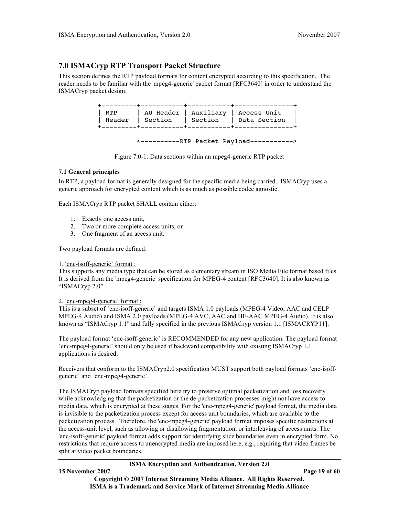# **7.0 ISMACryp RTP Transport Packet Structure**

This section defines the RTP payload formats for content encrypted according to this specification. The reader needs to be familiar with the 'mpeg4-generic' packet format [RFC3640] in order to understand the ISMACryp packet design.

> +---------+-----------+-----------+---------------+ RTP | AU Header | Auxiliary | Access Unit Header | Section | Section | Data Section +---------+-----------+-----------+---------------+ <----------RTP Packet Payload----------->

Figure 7.0-1: Data sections within an mpeg4-generic RTP packet

#### **7.1 General principles**

In RTP, a payload format is generally designed for the specific media being carried. ISMACryp uses a generic approach for encrypted content which is as much as possible codec agnostic.

Each ISMACryp RTP packet SHALL contain either:

- 1. Exactly one access unit,
- 2. Two or more complete access units, or
- 3. One fragment of an access unit.

Two payload formats are defined:

#### 1.'enc-isoff-generic' format :

This supports any media type that can be stored as elementary stream in ISO Media File format based files. It is derived from the 'mpeg4-generic' specification for MPEG-4 content [RFC3640]. It is also known as "ISMACryp 2.0".

#### 2.'enc-mpeg4-generic' format :

This is a subset of 'enc-isoff-generic' and targets ISMA 1.0 payloads (MPEG-4 Video, AAC and CELP MPEG-4 Audio) and ISMA 2.0 payloads (MPEG-4 AVC, AAC and HE-AAC MPEG-4 Audio). It is also known as "ISMACryp 1.1" and fully specified in the previous ISMACryp version 1.1 [ISMACRYP11].

The payload format 'enc-isoff-generic' is RECOMMENDED for any new application. The payload format 'enc-mpeg4-generic' should only be used if backward compatibility with existing ISMACryp 1.1 applications is desired.

Receivers that conform to the ISMACryp2.0 specification MUST support both payload formats 'enc-isoffgeneric' and 'enc-mpeg4-generic'.

The ISMACryp payload formats specified here try to preserve optimal packetization and loss recovery while acknowledging that the packetization or the de-packetization processes might not have access to media data, which is encrypted at these stages. For the 'enc-mpeg4-generic' payload format, the media data is invisible to the packetization process except for access unit boundaries, which are available to the packetization process. Therefore, the 'enc-mpeg4-generic' payload format imposes specific restrictions at the access-unit level, such as allowing or disallowing fragmentation, or interleaving of access units. The 'enc-isoff-generic' payload format adds support for identifying slice boundaries even in encrypted form. No restrictions that require access to unencrypted media are imposed here, e.g., requiring that video frames be split at video packet boundaries.

#### **ISMA Encryption and Authentication, Version 2.0**

**15 November 2007 Page 19 of 60**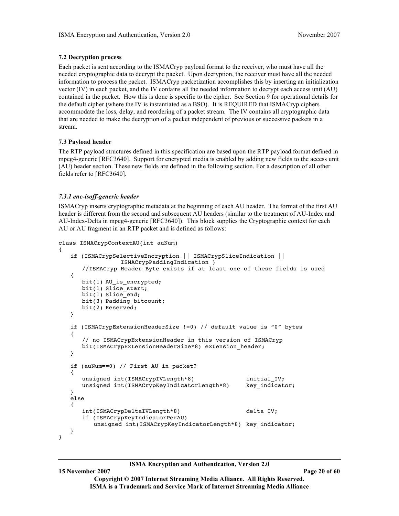# **7.2 Decryption process**

Each packet is sent according to the ISMACryp payload format to the receiver, who must have all the needed cryptographic data to decrypt the packet. Upon decryption, the receiver must have all the needed information to process the packet. ISMACryp packetization accomplishes this by inserting an initialization vector (IV) in each packet, and the IV contains all the needed information to decrypt each access unit (AU) contained in the packet. How this is done is specific to the cipher. See Section 9 for operational details for the default cipher (where the IV is instantiated as a BSO). It is REQUIRED that ISMACryp ciphers accommodate the loss, delay, and reordering of a packet stream. The IV contains all cryptographic data that are needed to make the decryption of a packet independent of previous or successive packets in a stream.

# **7.3 Payload header**

The RTP payload structures defined in this specification are based upon the RTP payload format defined in mpeg4-generic [RFC3640]. Support for encrypted media is enabled by adding new fields to the access unit (AU) header section. These new fields are defined in the following section. For a description of all other fields refer to [RFC3640].

# *7.3.1 enc-isoff-generic header*

ISMACryp inserts cryptographic metadata at the beginning of each AU header. The format of the first AU header is different from the second and subsequent AU headers (similar to the treatment of AU-Index and AU-Index-Delta in mpeg4-generic [RFC3640]). This block supplies the Cryptographic context for each AU or AU fragment in an RTP packet and is defined as follows:

```
class ISMACrypContextAU(int auNum)
{
   if (ISMACrypSelectiveEncryption || ISMACrypSliceIndication ||
                 ISMACrypPaddingIndication )
      //ISMACryp Header Byte exists if at least one of these fields is used
   {
      bit(1) AU is encrypted;
      bit(1) Slice start;
      bit(1) Slice_end;
      bit(3) Padding bitcount;
      bit(2) Reserved;
   }
   if (ISMACrypExtensionHeaderSize !=0) // default value is "0" bytes
   {
      // no ISMACrypExtensionHeader in this version of ISMACryp
      bit(ISMACrypExtensionHeaderSize*8) extension_header;
   }
   if (auNum==0) // First AU in packet?
   {
      unsigned int(ISMACrypIVLength*8) initial_IV;
      unsigned int(ISMACrypKeyIndicatorLength*8)
   }
   else
   {
      int(ISMACrypDeltaIVLength*8) delta IV;
      if (ISMACrypKeyIndicatorPerAU)
         unsigned int(ISMACrypKeyIndicatorLength*8) key_indicator;
   }
}
```
**ISMA Encryption and Authentication, Version 2.0**

**15 November 2007 Page 20 of 60**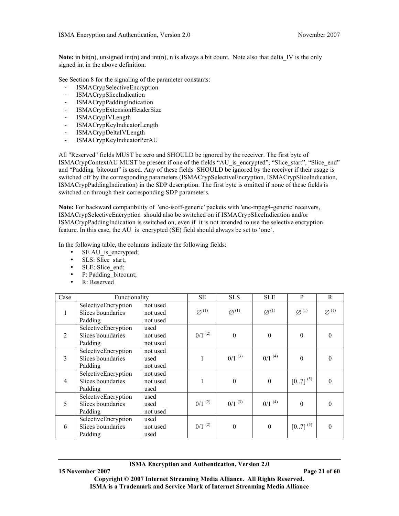**Note:** in bit(n), unsigned int(n) and int(n), n is always a bit count. Note also that delta\_IV is the only signed int in the above definition.

See Section 8 for the signaling of the parameter constants:

- ISMACrypSelectiveEncryption
- ISMACrypSliceIndication
- ISMACrypPaddingIndication
- ISMACrypExtensionHeaderSize
- ISMACrypIVLength
- ISMACrypKeyIndicatorLength
- ISMACrypDeltaIVLength
- ISMACrypKeyIndicatorPerAU

All "Reserved" fields MUST be zero and SHOULD be ignored by the receiver. The first byte of ISMACrypContextAU MUST be present if one of the fields "AU\_is\_encrypted", "Slice\_start", "Slice\_end" and "Padding bitcount" is used. Any of these fields SHOULD be ignored by the receiver if their usage is switched off by the corresponding parameters (ISMACrypSelectiveEncryption, ISMACrypSliceIndication, ISMACrypPaddingIndication) in the SDP description. The first byte is omitted if none of these fields is switched on through their corresponding SDP parameters.

**Note:** For backward compatibility of 'enc-isoff-generic' packets with 'enc-mpeg4-generic' receivers, ISMACrypSelectiveEncryption should also be switched on if ISMACrypSliceIndication and/or ISMACrypPaddingIndication is switched on, even if it is not intended to use the selective encryption feature. In this case, the AU is encrypted (SE) field should always be set to 'one'.

In the following table, the columns indicate the following fields:

- SE AU is encrypted;
- SLS: Slice start;
- SLE: Slice end;
- P: Padding bitcount;
- R: Reserved

| Case           | Functionality                                       |                                  | <b>SE</b>            | <b>SLS</b>          | <b>SLE</b>           | P                   | $\mathsf{R}$        |
|----------------|-----------------------------------------------------|----------------------------------|----------------------|---------------------|----------------------|---------------------|---------------------|
| 1              | SelectiveEncryption<br>Slices boundaries<br>Padding | not used<br>not used<br>not used | $\varnothing^{(1)}$  | $\varnothing^{(1)}$ | $\varnothing^{(1)}$  | $\varnothing^{(1)}$ | $\varnothing^{(1)}$ |
| 2              | SelectiveEncryption<br>Slices boundaries<br>Padding | used<br>not used<br>not used     | $0/1$ <sup>(2)</sup> | $\boldsymbol{0}$    | $\boldsymbol{0}$     | $\boldsymbol{0}$    | $\theta$            |
| 3              | SelectiveEncryption<br>Slices boundaries<br>Padding | not used<br>used<br>not used     | 1                    | $0/1^{(3)}$         | $0/1$ <sup>(4)</sup> | $\boldsymbol{0}$    | $\theta$            |
| $\overline{4}$ | SelectiveEncryption<br>Slices boundaries<br>Padding | not used<br>not used<br>used     |                      | $\boldsymbol{0}$    | $\boldsymbol{0}$     | $[07]^{(5)}$        | $\theta$            |
| 5              | SelectiveEncryption<br>Slices boundaries<br>Padding | used<br>used<br>not used         | $0/1$ <sup>(2)</sup> | $0/1^{(3)}$         | $0/1$ <sup>(4)</sup> | $\theta$            | $\Omega$            |
| 6              | SelectiveEncryption<br>Slices boundaries<br>Padding | used<br>not used<br>used         | $0/1$ <sup>(2)</sup> | $\boldsymbol{0}$    | $\boldsymbol{0}$     | $[07]^{(5)}$        | $\theta$            |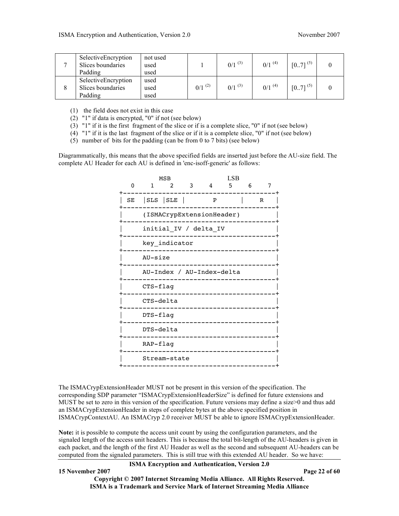| SelectiveEncryption<br>Slices boundaries<br>Padding | not used<br>used<br>used |             | $0/1^{(3)}$ | $0/1$ <sup>(4)</sup> | $[07]^{(5)}$ |  |
|-----------------------------------------------------|--------------------------|-------------|-------------|----------------------|--------------|--|
| SelectiveEncryption<br>Slices boundaries<br>Padding | used<br>used<br>used     | $0/1^{(2)}$ | $0/1^{(3)}$ | $0/1$ <sup>(4)</sup> | $[07]^{(5)}$ |  |

(1) the field does not exist in this case

(2) "1" if data is encrypted, "0" if not (see below)

(3) "1" if it is the first fragment of the slice or if is a complete slice, "0" if not (see below)

(4) "1" if it is the last fragment of the slice or if it is a complete slice, "0" if not (see below)

(5) number of bits for the padding (can be from 0 to 7 bits) (see below)

Diagrammatically, this means that the above specified fields are inserted just before the AU-size field. The complete AU Header for each AU is defined in 'enc-isoff-generic' as follows:

|          |              | <b>MSB</b>     |               |                           | <b>LSB</b> |     |              |
|----------|--------------|----------------|---------------|---------------------------|------------|-----|--------------|
| $\Omega$ | $\mathbf{1}$ | $\mathfrak{D}$ | $\mathcal{E}$ | $\overline{4}$            | 5          | - 6 | 7            |
| SE       |              | SLS SLE        |               | $\mathbf{P}$              |            |     | $\mathbb{R}$ |
|          |              |                |               | (ISMACrypExtensionHeader) |            |     |              |
|          |              |                |               | initial_IV / delta_IV     |            |     |              |
|          |              | key_indicator  |               |                           |            |     |              |
|          | AU-size      |                |               |                           |            |     |              |
|          |              |                |               | AU-Index / AU-Index-delta |            |     |              |
|          | $CTS - flag$ |                |               |                           |            |     |              |
|          | $CTS-delta$  |                |               |                           |            |     |              |
|          | $DTS$ -flag  |                |               |                           |            |     |              |
|          | $DTS-delta$  |                |               |                           |            |     |              |
|          | RAP-flag     |                |               |                           |            |     |              |
|          |              | Stream-state   |               |                           |            |     |              |

The ISMACrypExtensionHeader MUST not be present in this version of the specification. The corresponding SDP parameter "ISMACrypExtensionHeaderSize" is defined for future extensions and MUST be set to zero in this version of the specification. Future versions may define a size>0 and thus add an ISMACrypExtensionHeader in steps of complete bytes at the above specified position in ISMACrypContextAU. An ISMACryp 2.0 receiver MUST be able to ignore ISMACrypExtensionHeader.

**Note:** it is possible to compute the access unit count by using the configuration parameters, and the signaled length of the access unit headers. This is because the total bit-length of the AU-headers is given in each packet, and the length of the first AU Header as well as the second and subsequent AU-headers can be computed from the signaled parameters. This is still true with this extended AU header. So we have:

**ISMA Encryption and Authentication, Version 2.0**

**Copyright © 2007 Internet Streaming Media Alliance. All Rights Reserved. ISMA is a Trademark and Service Mark of Internet Streaming Media Alliance**

# **15 November 2007 Page 22 of 60**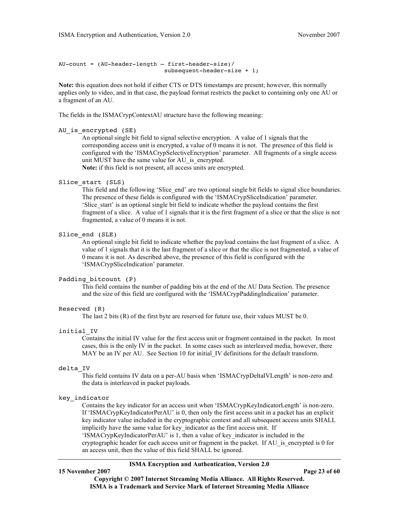```
AU-count = (AU-header-length – first-header-size)/
                              subsequent-header-size + 1;
```
**Note:** this equation does not hold if either CTS or DTS timestamps are present; however, this normally applies only to video, and in that case, the payload format restricts the packet to containing only one AU or a fragment of an AU.

The fields in the ISMACrypContextAU structure have the following meaning:

#### AU is encrypted (SE)

An optional single bit field to signal selective encryption. A value of 1 signals that the corresponding access unit is encrypted, a value of 0 means it is not. The presence of this field is configured with the 'ISMACrypSelectiveEncryption' parameter. All fragments of a single access unit MUST have the same value for AU is encrypted. **Note:** if this field is not present, all access units are encrypted.

# Slice start (SLS)

This field and the following 'Slice\_end' are two optional single bit fields to signal slice boundaries. The presence of these fields is configured with the 'ISMACrypSliceIndication' parameter. 'Slice\_start' is an optional single bit field to indicate whether the payload contains the first fragment of a slice. A value of 1 signals that it is the first fragment of a slice or that the slice is not fragmented, a value of 0 means it is not.

#### Slice end (SLE)

An optional single bit field to indicate whether the payload contains the last fragment of a slice. A value of 1 signals that it is the last fragment of a slice or that the slice is not fragmented, a value of 0 means it is not. As described above, the presence of this field is configured with the 'ISMACrypSliceIndication' parameter.

#### Padding bitcount (P)

This field contains the number of padding bits at the end of the AU Data Section. The presence and the size of this field are configured with the 'ISMACrypPaddingIndication' parameter.

#### Reserved (R)

The last 2 bits (R) of the first byte are reserved for future use, their values MUST be 0.

#### initial\_IV

Contains the initial IV value for the first access unit or fragment contained in the packet. In most cases, this is the only IV in the packet. In some cases such as interleaved media, however, there MAY be an IV per AU. See Section 10 for initial\_IV definitions for the default transform.

#### delta\_IV

This field contains IV data on a per-AU basis when 'ISMACrypDeltaIVLength' is non-zero and the data is interleaved in packet payloads.

#### key\_indicator

Contains the key indicator for an access unit when 'ISMACrypKeyIndicatorLength' is non-zero. If 'ISMACrypKeyIndicatorPerAU' is 0, then only the first access unit in a packet has an explicit key indicator value included in the cryptographic context and all subsequent access units SHALL implicitly have the same value for key\_indicator as the first access unit. If

'ISMACrypKeyIndicatorPerAU' is 1, then a value of key\_indicator is included in the cryptographic header for each access unit or fragment in the packet. If AU is encrypted is 0 for an access unit, then the value of this field SHALL be ignored.

#### **ISMA Encryption and Authentication, Version 2.0**

**15 November 2007 Page 23 of 60**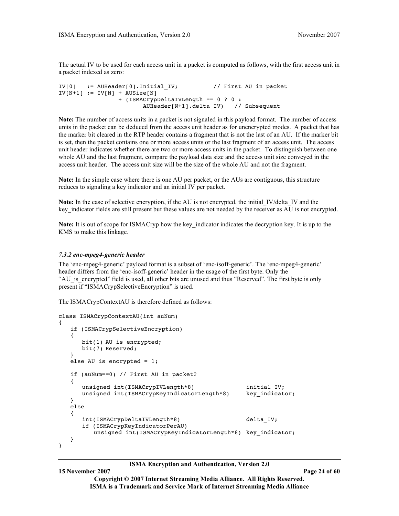The actual IV to be used for each access unit in a packet is computed as follows, with the first access unit in a packet indexed as zero:

```
IV[0] := AUHeader[0].Initial_IV; // First AU in packet
IV[N+1] := IV[N] + AUSize[N]+ (ISMACrypDeltaIVLength == 0 ? 0 :
                      AUHeader[N+1].delta IV) // Subsequent
```
**Note:** The number of access units in a packet is not signaled in this payload format. The number of access units in the packet can be deduced from the access unit header as for unencrypted modes. A packet that has the marker bit cleared in the RTP header contains a fragment that is not the last of an AU. If the marker bit is set, then the packet contains one or more access units or the last fragment of an access unit. The access unit header indicates whether there are two or more access units in the packet. To distinguish between one whole AU and the last fragment, compare the payload data size and the access unit size conveyed in the access unit header. The access unit size will be the size of the whole AU and not the fragment.

**Note:** In the simple case where there is one AU per packet, or the AUs are contiguous, this structure reduces to signaling a key indicator and an initial IV per packet.

**Note:** In the case of selective encryption, if the AU is not encrypted, the initial\_IV/delta\_IV and the key indicator fields are still present but these values are not needed by the receiver as AU is not encrypted.

**Note:** It is out of scope for ISMACryp how the key\_indicator indicates the decryption key. It is up to the KMS to make this linkage.

#### *7.3.2 enc-mpeg4-generic header*

The 'enc-mpeg4-generic' payload format is a subset of 'enc-isoff-generic'. The 'enc-mpeg4-generic' header differs from the 'enc-isoff-generic' header in the usage of the first byte. Only the "AU\_is\_encrypted" field is used, all other bits are unused and thus "Reserved". The first byte is only present if "ISMACrypSelectiveEncryption" is used.

The ISMACrypContextAU is therefore defined as follows:

```
class ISMACrypContextAU(int auNum)
{
   if (ISMACrypSelectiveEncryption)
   {
      bit(1) AU is encrypted;
      bit(7) Reserved;
   }
   else AU is encrypted = 1;if (auNum==0) // First AU in packet?
   {
       unsigned int(ISMACrypIVLength*8)  initial_IV;<br>unsigned int(ISMACrypKeyIndicatorLength*8)  key indicator;
      unsigned int(ISMACrypKeyIndicatorLength*8)
   }
   else
   {
       int(ISMACrypDeltaIVLength*8) delta IV;
       if (ISMACrypKeyIndicatorPerAU)
          unsigned int(ISMACrypKeyIndicatorLength*8) key indicator;
   }
}
```
**ISMA Encryption and Authentication, Version 2.0**

**Copyright © 2007 Internet Streaming Media Alliance. All Rights Reserved. ISMA is a Trademark and Service Mark of Internet Streaming Media Alliance**

**15 November 2007 Page 24 of 60**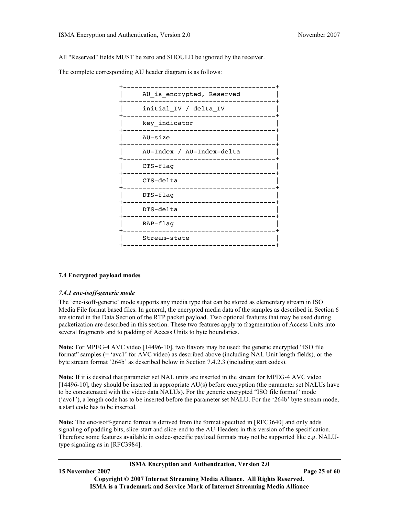All "Reserved" fields MUST be zero and SHOULD be ignored by the receiver.

The complete corresponding AU header diagram is as follows:

| AU_is_encrypted, Reserved |
|---------------------------|
| initial IV / delta IV     |
| key indicator             |
| AU-size                   |
| AU-Index / AU-Index-delta |
| $CTS - flaq$              |
| $CTS-delta$               |
| $DTS$ -flaq               |
| $DTS-delta$               |
| RAP-flag                  |
| Stream-state              |
|                           |

# **7.4 Encrypted payload modes**

#### *7.4.1 enc-isoff-generic mode*

The 'enc-isoff-generic' mode supports any media type that can be stored as elementary stream in ISO Media File format based files. In general, the encrypted media data of the samples as described in Section 6 are stored in the Data Section of the RTP packet payload. Two optional features that may be used during packetization are described in this section. These two features apply to fragmentation of Access Units into several fragments and to padding of Access Units to byte boundaries.

**Note:** For MPEG-4 AVC video [14496-10], two flavors may be used: the generic encrypted "ISO file format" samples (= 'avc1' for AVC video) as described above (including NAL Unit length fields), or the byte stream format '264b' as described below in Section 7.4.2.3 (including start codes).

**Note:** If it is desired that parameter set NAL units are inserted in the stream for MPEG-4 AVC video [14496-10], they should be inserted in appropriate AU(s) before encryption (the parameter set NALUs have to be concatenated with the video data NALUs). For the generic encrypted "ISO file format" mode ('avc1'), a length code has to be inserted before the parameter set NALU. For the '264b' byte stream mode, a start code has to be inserted.

**Note:** The enc-isoff-generic format is derived from the format specified in [RFC3640] and only adds signaling of padding bits, slice-start and slice-end to the AU-Headers in this version of the specification. Therefore some features available in codec-specific payload formats may not be supported like e.g. NALUtype signaling as in [RFC3984].

**ISMA Encryption and Authentication, Version 2.0**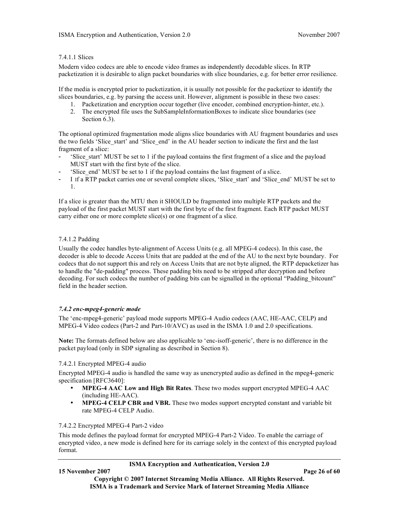### 7.4.1.1 Slices

Modern video codecs are able to encode video frames as independently decodable slices. In RTP packetization it is desirable to align packet boundaries with slice boundaries, e.g. for better error resilience.

If the media is encrypted prior to packetization, it is usually not possible for the packetizer to identify the slices boundaries, e.g. by parsing the access unit. However, alignment is possible in these two cases:

- 1. Packetization and encryption occur together (live encoder, combined encryption-hinter, etc.).
- 2. The encrypted file uses the SubSampleInformationBoxes to indicate slice boundaries (see Section 6.3).

The optional optimized fragmentation mode aligns slice boundaries with AU fragment boundaries and uses the two fields 'Slice\_start' and 'Slice\_end' in the AU header section to indicate the first and the last fragment of a slice:

- 'Slice\_start' MUST be set to 1 if the payload contains the first fragment of a slice and the payload MUST start with the first byte of the slice.
- 'Slice end' MUST be set to 1 if the payload contains the last fragment of a slice.
- I If a RTP packet carries one or several complete slices, 'Slice\_start' and 'Slice\_end' MUST be set to 1.

If a slice is greater than the MTU then it SHOULD be fragmented into multiple RTP packets and the payload of the first packet MUST start with the first byte of the first fragment. Each RTP packet MUST carry either one or more complete slice(s) or one fragment of a slice.

#### 7.4.1.2 Padding

Usually the codec handles byte-alignment of Access Units (e.g. all MPEG-4 codecs). In this case, the decoder is able to decode Access Units that are padded at the end of the AU to the next byte boundary. For codecs that do not support this and rely on Access Units that are not byte aligned, the RTP depacketizer has to handle the "de-padding" process. These padding bits need to be stripped after decryption and before decoding. For such codecs the number of padding bits can be signalled in the optional "Padding bitcount" field in the header section.

#### *7.4.2 enc-mpeg4-generic mode*

The 'enc-mpeg4-generic' payload mode supports MPEG-4 Audio codecs (AAC, HE-AAC, CELP) and MPEG-4 Video codecs (Part-2 and Part-10/AVC) as used in the ISMA 1.0 and 2.0 specifications.

**Note:** The formats defined below are also applicable to 'enc-isoff-generic', there is no difference in the packet payload (only in SDP signaling as described in Section 8).

#### 7.4.2.1 Encrypted MPEG-4 audio

Encrypted MPEG-4 audio is handled the same way as unencrypted audio as defined in the mpeg4-generic specification [RFC3640]:

- **MPEG-4 AAC Low and High Bit Rates**. These two modes support encrypted MPEG-4 AAC (including HE-AAC).
- **MPEG-4 CELP CBR and VBR.** These two modes support encrypted constant and variable bit rate MPEG-4 CELP Audio.

#### 7.4.2.2 Encrypted MPEG-4 Part-2 video

This mode defines the payload format for encrypted MPEG-4 Part-2 Video. To enable the carriage of encrypted video, a new mode is defined here for its carriage solely in the context of this encrypted payload format.

#### **ISMA Encryption and Authentication, Version 2.0**

**15 November 2007 Page 26 of 60**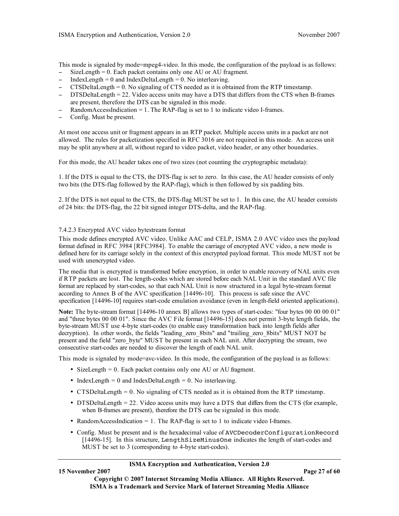This mode is signaled by mode=mpeg4-video. In this mode, the configuration of the payload is as follows:

- − SizeLength = 0. Each packet contains only one AU or AU fragment.
- − IndexLength = 0 and IndexDeltaLength = 0. No interleaving.
- − CTSDeltaLength = 0. No signaling of CTS needed as it is obtained from the RTP timestamp.
- − DTSDeltaLength = 22. Video access units may have a DTS that differs from the CTS when B-frames are present, therefore the DTS can be signaled in this mode.
- RandomAccessIndication = 1. The RAP-flag is set to 1 to indicate video I-frames.
- − Config. Must be present.

At most one access unit or fragment appears in an RTP packet. Multiple access units in a packet are not allowed. The rules for packetization specified in RFC 3016 are not required in this mode. An access unit may be split anywhere at all, without regard to video packet, video header, or any other boundaries.

For this mode, the AU header takes one of two sizes (not counting the cryptographic metadata):

1. If the DTS is equal to the CTS, the DTS-flag is set to zero. In this case, the AU header consists of only two bits (the DTS-flag followed by the RAP-flag), which is then followed by six padding bits.

2. If the DTS is not equal to the CTS, the DTS-flag MUST be set to 1. In this case, the AU header consists of 24 bits: the DTS-flag, the 22 bit signed integer DTS-delta, and the RAP-flag.

# 7.4.2.3 Encrypted AVC video bytestream format

This mode defines encrypted AVC video. Unlike AAC and CELP, ISMA 2.0 AVC video uses the payload format defined in RFC 3984 [RFC3984]. To enable the carriage of encrypted AVC video, a new mode is defined here for its carriage solely in the context of this encrypted payload format. This mode MUST not be used with unencrypted video.

The media that is encrypted is transformed before encryption, in order to enable recovery of NAL units even if RTP packets are lost. The length-codes which are stored before each NAL Unit in the standard AVC file format are replaced by start-codes, so that each NAL Unit is now structured in a legal byte-stream format according to Annex B of the AVC specification [14496-10]. This process is safe since the AVC specification [14496-10] requires start-code emulation avoidance (even in length-field oriented applications).

**Note:** The byte-stream format [14496-10 annex B] allows two types of start-codes: "four bytes 00 00 00 01" and "three bytes 00 00 01". Since the AVC File format [14496-15] does not permit 3-byte length fields, the byte-stream MUST use 4-byte start-codes (to enable easy transformation back into length fields after decryption). In other words, the fields "leading zero 8bits" and "trailing zero 8bits" MUST NOT be present and the field "zero\_byte" MUST be present in each NAL unit. After decrypting the stream, two consecutive start-codes are needed to discover the length of each NAL unit.

This mode is signaled by mode=avc-video. In this mode, the configuration of the payload is as follows:

- SizeLength = 0. Each packet contains only one AU or AU fragment.
- IndexLength = 0 and IndexDeltaLength = 0. No interleaving.
- CTSDeltaLength = 0. No signaling of CTS needed as it is obtained from the RTP timestamp.
- DTSDeltaLength = 22. Video access units may have a DTS that differs from the CTS (for example, when B-frames are present), therefore the DTS can be signaled in this mode.
- RandomAccessIndication  $= 1$ . The RAP-flag is set to 1 to indicate video I-frames.
- Config. Must be present and is the hexadecimal value of AVCDecoderConfigurationRecord [14496-15]. In this structure, LengthSizeMinusOne indicates the length of start-codes and MUST be set to 3 (corresponding to 4-byte start-codes).

#### **ISMA Encryption and Authentication, Version 2.0**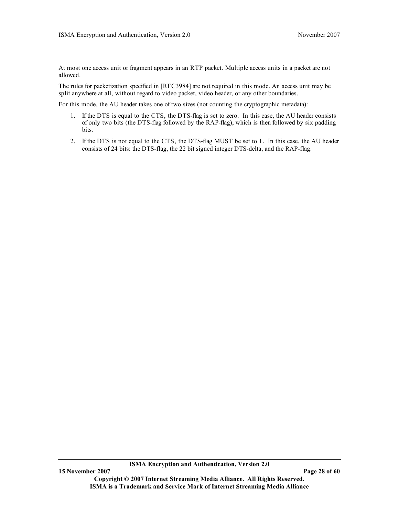At most one access unit or fragment appears in an RTP packet. Multiple access units in a packet are not allowed.

The rules for packetization specified in [RFC3984] are not required in this mode. An access unit may be split anywhere at all, without regard to video packet, video header, or any other boundaries.

For this mode, the AU header takes one of two sizes (not counting the cryptographic metadata):

- 1. If the DTS is equal to the CTS, the DTS-flag is set to zero. In this case, the AU header consists of only two bits (the DTS-flag followed by the RAP-flag), which is then followed by six padding bits.
- 2. If the DTS is not equal to the CTS, the DTS-flag MUST be set to 1. In this case, the AU header consists of 24 bits: the DTS-flag, the 22 bit signed integer DTS-delta, and the RAP-flag.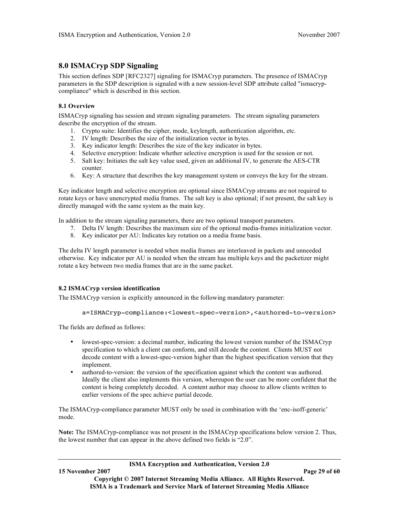# **8.0 ISMACryp SDP Signaling**

This section defines SDP [RFC2327] signaling for ISMACryp parameters. The presence of ISMACryp parameters in the SDP description is signaled with a new session-level SDP attribute called "ismacrypcompliance" which is described in this section.

# **8.1 Overview**

ISMACryp signaling has session and stream signaling parameters. The stream signaling parameters describe the encryption of the stream.

- 1. Crypto suite: Identifies the cipher, mode, keylength, authentication algorithm, etc.
- 2. IV length: Describes the size of the initialization vector in bytes.
- 3. Key indicator length: Describes the size of the key indicator in bytes.
- 4. Selective encryption: Indicate whether selective encryption is used for the session or not.
- 5. Salt key: Initiates the salt key value used, given an additional IV, to generate the AES-CTR counter.
- 6. Key: A structure that describes the key management system or conveys the key for the stream.

Key indicator length and selective encryption are optional since ISMACryp streams are not required to rotate keys or have unencrypted media frames. The salt key is also optional; if not present, the salt key is directly managed with the same system as the main key.

In addition to the stream signaling parameters, there are two optional transport parameters.

- 7. Delta IV length: Describes the maximum size of the optional media-frames initialization vector.
- 8. Key indicator per AU: Indicates key rotation on a media frame basis.

The delta IV length parameter is needed when media frames are interleaved in packets and unneeded otherwise. Key indicator per AU is needed when the stream has multiple keys and the packetizer might rotate a key between two media frames that are in the same packet.

# **8.2 ISMACryp version identification**

The ISMACryp version is explicitly announced in the following mandatory parameter:

```
a=ISMACryp-compliance:<lowest-spec-version>,<authored-to-version>
```
The fields are defined as follows:

- lowest-spec-version: a decimal number, indicating the lowest version number of the ISMACryp specification to which a client can conform, and still decode the content. Clients MUST not decode content with a lowest-spec-version higher than the highest specification version that they implement.
- authored-to-version: the version of the specification against which the content was authored. Ideally the client also implements this version, whereupon the user can be more confident that the content is being completely decoded. A content author may choose to allow clients written to earlier versions of the spec achieve partial decode.

The ISMACryp-compliance parameter MUST only be used in combination with the 'enc-isoff-generic' mode.

**Note:** The ISMACryp-compliance was not present in the ISMACryp specifications below version 2. Thus, the lowest number that can appear in the above defined two fields is "2.0".

**ISMA Encryption and Authentication, Version 2.0**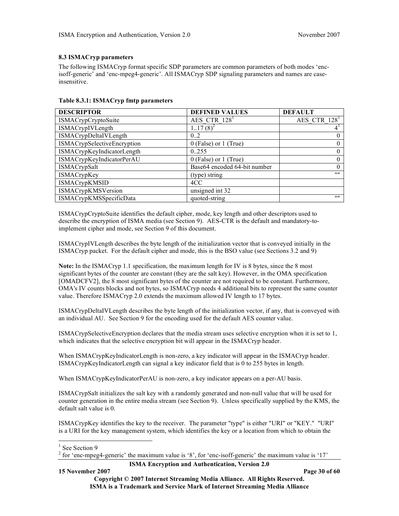# **8.3 ISMACryp parameters**

The following ISMACryp format specific SDP parameters are common parameters of both modes 'encisoff-generic' and 'enc-mpeg4-generic'. All ISMACryp SDP signaling parameters and names are caseinsensitive.

| <b>DESCRIPTOR</b>           | <b>DEFINED VALUES</b>             | <b>DEFAULT</b> |
|-----------------------------|-----------------------------------|----------------|
| <b>ISMACrypCryptoSuite</b>  | AES CTR $1281$                    | AES CTR $1281$ |
| <b>ISMACrypIVLength</b>     | $\overline{117}$ (8) <sup>2</sup> | $4^1$          |
| ISMACrypDeltaIVLength       | 0.2                               |                |
| ISMACrypSelectiveEncryption | $0$ (False) or $1$ (True)         |                |
| ISMACrypKeyIndicatorLength  | 0.255                             |                |
| ISMACrypKeyIndicatorPerAU   | $0$ (False) or $1$ (True)         |                |
| ISMACrypSalt                | Base64 encoded 64-bit number      | 0              |
| ISMACrypKey                 | (type) string                     | 1111           |
| ISMACrypKMSID               | 4CC                               |                |
| ISMACrypKMSVersion          | unsigned int 32                   |                |
| ISMACrypKMSSpecificData     | quoted-string                     | 1111           |

ISMACrypCryptoSuite identifies the default cipher, mode, key length and other descriptors used to describe the encryption of ISMA media (see Section 9). AES-CTR is the default and mandatory-toimplement cipher and mode, see Section 9 of this document.

ISMACrypIVLength describes the byte length of the initialization vector that is conveyed initially in the ISMACryp packet. For the default cipher and mode, this is the BSO value (see Sections 3.2 and 9)

**Note:** In the ISMACryp 1.1 specification, the maximum length for IV is 8 bytes, since the 8 most significant bytes of the counter are constant (they are the salt key). However, in the OMA specification [OMADCFV2], the 8 most significant bytes of the counter are not required to be constant. Furthermore, OMA's IV counts blocks and not bytes, so ISMACryp needs 4 additional bits to represent the same counter value. Therefore ISMACryp 2.0 extends the maximum allowed IV length to 17 bytes.

ISMACrypDeltaIVLength describes the byte length of the initialization vector, if any, that is conveyed with an individual AU. See Section 9 for the encoding used for the default AES counter value.

ISMACrypSelectiveEncryption declares that the media stream uses selective encryption when it is set to 1, which indicates that the selective encryption bit will appear in the ISMACryp header.

When ISMACrypKeyIndicatorLength is non-zero, a key indicator will appear in the ISMACryp header. ISMACrypKeyIndicatorLength can signal a key indicator field that is 0 to 255 bytes in length.

When ISMACrypKeyIndicatorPerAU is non-zero, a key indicator appears on a per-AU basis.

ISMACrypSalt initializes the salt key with a randomly generated and non-null value that will be used for counter generation in the entire media stream (see Section 9). Unless specifically supplied by the KMS, the default salt value is 0.

ISMACrypKey identifies the key to the receiver. The parameter "type" is either "URI" or "KEY." "URI" is a URI for the key management system, which identifies the key or a location from which to obtain the

**ISMA Encryption and Authentication, Version 2.0**

**15 November 2007 Page 30 of 60**

<sup>&</sup>lt;sup>1</sup> See Section 9<br><sup>2</sup> for 'enc-mpeg4-generic' the maximum value is '8', for 'enc-isoff-generic' the maximum value is '17'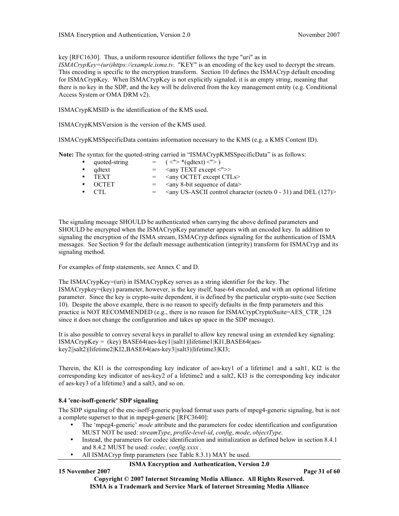key [RFC1630]. Thus, a uniform resource identifier follows the type "uri" as in

*ISMACrypKey=(uri)https://example.isma.tv*. "KEY" is an encoding of the key used to decrypt the stream. This encoding is specific to the encryption transform. Section 10 defines the ISMACryp default encoding for ISMACrypKey. When ISMACrypKey is not explicitly signaled, it is an empty string, meaning that there is no key in the SDP, and the key will be delivered from the key management entity (e.g. Conditional Access System or OMA DRM v2).

ISMACrypKMSID is the identification of the KMS used.

ISMACrypKMSVersion is the version of the KMS used.

ISMACrypKMSSpecificData contains information necessary to the KMS (e.g. a KMS Content ID).

**Note:** The syntax for the quoted-string carried in "ISMACrypKMSSpecificData" is as follows:

- quoted-string  $=$   $(<^{\prime\prime}>\ast$  (qdtext)  $<^{\prime\prime}>\ast$ )<br>
 adtext  $=$   $<$  any TEXT except  $<^{\prime\prime}$
- qdtext  $=$   $\langle$ any TEXT except  $\langle$ ">>
- TEXT  $=$   $\langle$ any OCTET except CTLs>
- OCTET  $=$   $\langle \text{any 8-bit sequence of data} \rangle$ <br>• CTL  $=$   $\langle \text{any US-ASCII control char} \rangle$
- $=$  <any US-ASCII control character (octets 0 31) and DEL (127)>

The signaling message SHOULD be authenticated when carrying the above defined parameters and SHOULD be encrypted when the ISMACrypKey parameter appears with an encoded key. In addition to signaling the encryption of the ISMA stream, ISMACryp defines signaling for the authentication of ISMA messages. See Section 9 for the default message authentication (integrity) transform for ISMACryp and its signaling method.

For examples of fmtp statements, see Annex C and D.

The ISMACrypKey=(uri) in ISMACrypKey serves as a string identifier for the key. The ISMACrypkey=(key) parameter, however, is the key itself, base-64 encoded, and with an optional lifetime parameter. Since the key is crypto-suite dependent, it is defined by the particular crypto-suite (see Section 10). Despite the above example, there is no reason to specify defaults in the fmtp parameters and this practice is NOT RECOMMENDED (e.g., there is no reason for ISMACrypCryptoSuite=AES\_CTR\_128 since it does not change the configuration and takes up space in the SDP message).

It is also possible to convey several keys in parallel to allow key renewal using an extended key signaling: ISMACrypKey = (key) BASE64(aes-key1||salt1)|lifetime1|KI1,BASE64(aeskey2||salt2)|lifetime2|KI2,BASE64(aes-key3||salt3)|lifetime3|KI3;

Therein, the KI1 is the corresponding key indicator of aes-key1 of a lifetime1 and a salt1, KI2 is the corresponding key indicator of aes-key2 of a lifetime2 and a salt2, KI3 is the corresponding key indicator of aes-key3 of a lifetime3 and a salt3, and so on.

#### **8.4 'enc-isoff-generic' SDP signaling**

The SDP signaling of the enc-isoff-generic payload format uses parts of mpeg4-generic signaling, but is not a complete superset to that in mpeg4-generic [RFC3640]:

- The 'mpeg4-generic' *mode* attribute and the parameters for codec identification and configuration MUST NOT be used: *streamType*, *profile-level-id*, *config*, *mode*, *objectType*.
- Instead, the parameters for codec identification and initialization as defined below in section 8.4.1 and 8.4.2 MUST be used: *codec, config.xxxx .*
- All ISMACryp fmtp parameters (see Table 8.3.1) MAY be used.

**ISMA Encryption and Authentication, Version 2.0**

**15 November 2007 Page 31 of 60**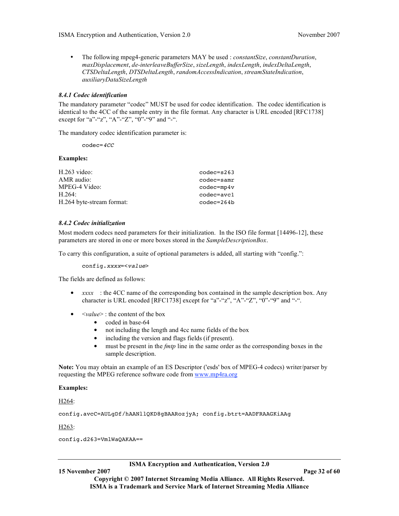• The following mpeg4-generic parameters MAY be used : *constantSize*, *constantDuration*, *maxDisplacement*, *de-interleaveBufferSize*, *sizeLength*, *indexLength*, *indexDeltaLength*, *CTSDeltaLength*, *DTSDeltaLength*, *randomAccessIndication*, *streamStateIndication*, *auxiliaryDataSizeLength*

## *8.4.1 Codec identification*

The mandatory parameter "codec" MUST be used for codec identification. The codec identification is identical to the 4CC of the sample entry in the file format. Any character is URL encoded [RFC1738] except for "a"-"z", "A"-"Z", "0"-"9" and "-".

The mandatory codec identification parameter is:

codec=4CC

#### **Examples:**

| $H.263$ video:            | $codec=5263$   |
|---------------------------|----------------|
| AMR audio:                | $codec = samr$ |
| MPEG-4 Video:             | $codec = mp4v$ |
| H.264:                    | $codec = avc1$ |
| H.264 byte-stream format: | $codec=264b$   |

#### *8.4.2 Codec initialization*

Most modern codecs need parameters for their initialization. In the ISO file format [14496-12], these parameters are stored in one or more boxes stored in the *SampleDescriptionBox*.

To carry this configuration, a suite of optional parameters is added, all starting with "config.":

config.xxxx=<value>

The fields are defined as follows:

- *xxxx* : the 4CC name of the corresponding box contained in the sample description box. Any character is URL encoded [RFC1738] except for "a"-"z", "A"-"Z", "0"-"9" and "-".
- *<value>* : the content of the box
	- coded in base-64
	- not including the length and 4cc name fields of the box
	- including the version and flags fields (if present).
	- must be present in the *fmtp* line in the same order as the corresponding boxes in the sample description.

**Note:** You may obtain an example of an ES Descriptor ('esds' box of MPEG-4 codecs) writer/parser by requesting the MPEG reference software code from www.mp4ra.org

#### **Examples:**

### H264:

config.avcC=AULgDf/hAANllQKD8gBAARozjyA; config.btrt=AADFRAAGKiAAg

#### H<sub>263</sub>:

config.d263=VmlWaQAKAA==

**ISMA Encryption and Authentication, Version 2.0**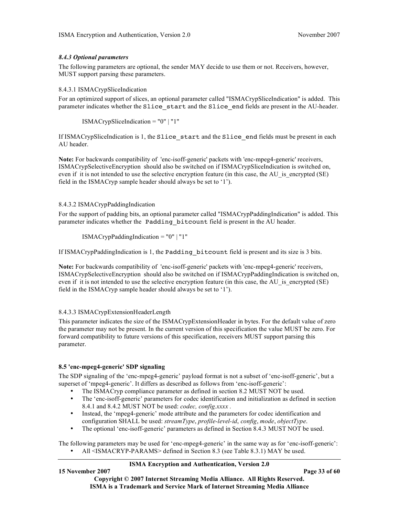# *8.4.3 Optional parameters*

The following parameters are optional, the sender MAY decide to use them or not. Receivers, however, MUST support parsing these parameters.

## 8.4.3.1 ISMACrypSliceIndication

For an optimized support of slices, an optional parameter called "ISMACrypSliceIndication" is added. This parameter indicates whether the Slice start and the Slice end fields are present in the AU-header.

ISMACrypSliceIndication = "0" | "1"

If ISMACrypSliceIndication is 1, the Slice\_start and the Slice\_end fields must be present in each AU header.

**Note:** For backwards compatibility of 'enc-isoff-generic' packets with 'enc-mpeg4-generic' receivers, ISMACrypSelectiveEncryption should also be switched on if ISMACrypSliceIndication is switched on, even if it is not intended to use the selective encryption feature (in this case, the AU is encrypted (SE) field in the ISMACryp sample header should always be set to '1').

# 8.4.3.2 ISMACrypPaddingIndication

For the support of padding bits, an optional parameter called "ISMACrypPaddingIndication" is added. This parameter indicates whether the Padding\_bitcount field is present in the AU header.

ISMACrypPaddingIndication = "0" | "1"

If ISMACrypPaddingIndication is 1, the Padding\_bitcount field is present and its size is 3 bits.

**Note:** For backwards compatibility of 'enc-isoff-generic' packets with 'enc-mpeg4-generic' receivers, ISMACrypSelectiveEncryption should also be switched on if ISMACrypPaddingIndication is switched on, even if it is not intended to use the selective encryption feature (in this case, the AU is encrypted (SE) field in the ISMACryp sample header should always be set to '1').

# 8.4.3.3 ISMACrypExtensionHeaderLength

This parameter indicates the size of the ISMACrypExtensionHeader in bytes. For the default value of zero the parameter may not be present. In the current version of this specification the value MUST be zero. For forward compatibility to future versions of this specification, receivers MUST support parsing this parameter.

#### **8.5 'enc-mpeg4-generic' SDP signaling**

The SDP signaling of the 'enc-mpeg4-generic' payload format is not a subset of 'enc-isoff-generic', but a superset of 'mpeg4-generic'. It differs as described as follows from 'enc-isoff-generic':

- The ISMACryp compliance parameter as defined in section 8.2 MUST NOT be used.
- The 'enc-isoff-generic' parameters for codec identification and initialization as defined in section 8.4.1 and 8.4.2 MUST NOT be used: *codec, config.xxxx .*
- Instead, the 'mpeg4-generic' mode attribute and the parameters for codec identification and configuration SHALL be used: *streamType*, *profile-level-id*, *config*, *mode*, *objectType*.
- The optional 'enc-isoff-generic' parameters as defined in Section 8.4.3 MUST NOT be used.

The following parameters may be used for 'enc-mpeg4-generic' in the same way as for 'enc-isoff-generic': • All <ISMACRYP-PARAMS> defined in Section 8.3 (see Table 8.3.1) MAY be used.

#### **ISMA Encryption and Authentication, Version 2.0**

**15 November 2007 Page 33 of 60**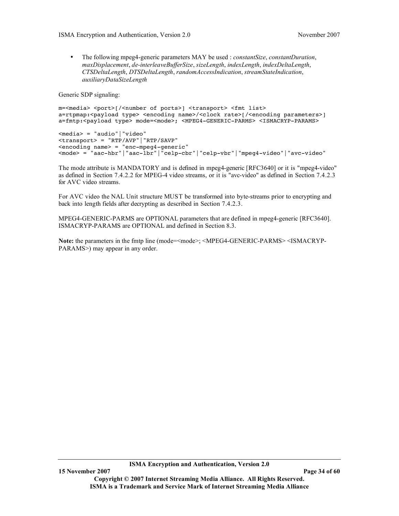• The following mpeg4-generic parameters MAY be used : *constantSize*, *constantDuration*, *maxDisplacement*, *de-interleaveBufferSize*, *sizeLength*, *indexLength*, *indexDeltaLength*, *CTSDeltaLength*, *DTSDeltaLength*, *randomAccessIndication*, *streamStateIndication*, *auxiliaryDataSizeLength*

Generic SDP signaling:

```
m=<media> <port>[/<number of ports>] <transport> <fmt list>
a=rtpmap:<payload type> <encoding name>/<clock rate>[/<encoding parameters>]
a=fmtp:<payload type> mode=<mode>; <MPEG4-GENERIC-PARMS> <ISMACRYP-PARAMS>
<media> = "audio"|"video"
<transport> = "RTP/AVP"|"RTP/SAVP"
<encoding name> = "enc-mpeg4-generic"
<mode> = "aac-hbr"|"aac-lbr"|"celp-cbr"|"celp-vbr"|"mpeg4-video"|"avc-video"
```
The mode attribute is MANDATORY and is defined in mpeg4-generic [RFC3640] or it is "mpeg4-video" as defined in Section 7.4.2.2 for MPEG-4 video streams, or it is "avc-video" as defined in Section 7.4.2.3 for AVC video streams.

For AVC video the NAL Unit structure MUST be transformed into byte-streams prior to encrypting and back into length fields after decrypting as described in Section 7.4.2.3.

MPEG4-GENERIC-PARMS are OPTIONAL parameters that are defined in mpeg4-generic [RFC3640]. ISMACRYP-PARAMS are OPTIONAL and defined in Section 8.3.

**Note:** the parameters in the fmtp line (mode=<mode>; <MPEG4-GENERIC-PARMS> <ISMACRYP-PARAMS>) may appear in any order.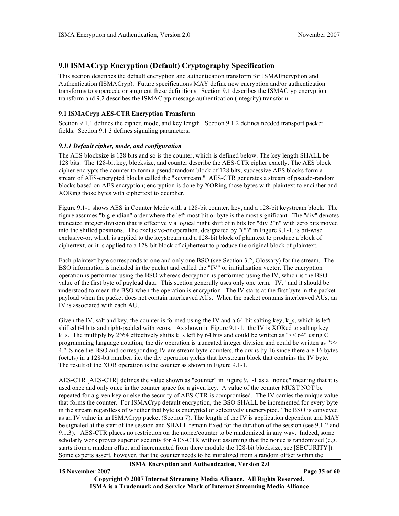# **9.0 ISMACryp Encryption (Default) Cryptography Specification**

This section describes the default encryption and authentication transform for ISMAEncryption and Authentication (ISMACryp). Future specifications MAY define new encryption and/or authentication transforms to supercede or augment these definitions. Section 9.1 describes the ISMACryp encryption transform and 9.2 describes the ISMACryp message authentication (integrity) transform.

#### **9.1 ISMACryp AES-CTR Encryption Transform**

Section 9.1.1 defines the cipher, mode, and key length. Section 9.1.2 defines needed transport packet fields. Section 9.1.3 defines signaling parameters.

#### *9.1.1 Default cipher, mode, and configuration*

The AES blocksize is 128 bits and so is the counter, which is defined below. The key length SHALL be 128 bits. The 128-bit key, blocksize, and counter describe the AES-CTR cipher exactly. The AES block cipher encrypts the counter to form a pseudorandom block of 128 bits; successive AES blocks form a stream of AES-encrypted blocks called the "keystream." AES-CTR generates a stream of pseudo-random blocks based on AES encryption; encryption is done by XORing those bytes with plaintext to encipher and XORing those bytes with ciphertext to decipher.

Figure 9.1-1 shows AES in Counter Mode with a 128-bit counter, key, and a 128-bit keystream block. The figure assumes "big-endian" order where the left-most bit or byte is the most significant. The "div" denotes truncated integer division that is effectively a logical right shift of n bits for "div 2^n" with zero bits moved into the shifted positions. The exclusive-or operation, designated by " $(*)$ " in Figure 9.1-1, is bit-wise exclusive-or, which is applied to the keystream and a 128-bit block of plaintext to produce a block of ciphertext, or it is applied to a 128-bit block of ciphertext to produce the original block of plaintext.

Each plaintext byte corresponds to one and only one BSO (see Section 3.2, Glossary) for the stream. The BSO information is included in the packet and called the "IV" or initialization vector. The encryption operation is performed using the BSO whereas decryption is performed using the IV, which is the BSO value of the first byte of payload data. This section generally uses only one term, "IV," and it should be understood to mean the BSO when the operation is encryption. The IV starts at the first byte in the packet payload when the packet does not contain interleaved AUs. When the packet contains interleaved AUs, an IV is associated with each AU.

Given the IV, salt and key, the counter is formed using the IV and a 64-bit salting key,  $k$  s, which is left shifted 64 bits and right-padded with zeros. As shown in Figure 9.1-1, the IV is XORed to salting key k\_s. The multiply by 2^64 effectively shifts k\_s left by 64 bits and could be written as "<< 64" using C programming language notation; the div operation is truncated integer division and could be written as ">> 4." Since the BSO and corresponding IV are stream byte-counters, the div is by 16 since there are 16 bytes (octets) in a 128-bit number, i.e. the div operation yields that keystream block that contains the IV byte. The result of the XOR operation is the counter as shown in Figure 9.1-1.

AES-CTR [AES-CTR] defines the value shown as "counter" in Figure 9.1-1 as a "nonce" meaning that it is used once and only once in the counter space for a given key. A value of the counter MUST NOT be repeated for a given key or else the security of AES-CTR is compromised. The IV carries the unique value that forms the counter. For ISMACryp default encryption, the BSO SHALL be incremented for every byte in the stream regardless of whether that byte is encrypted or selectively unencrypted. The BSO is conveyed as an IV value in an ISMACryp packet (Section 7). The length of the IV is application dependent and MAY be signaled at the start of the session and SHALL remain fixed for the duration of the session (see 9.1.2 and 9.1.3). AES-CTR places no restriction on the nonce/counter to be randomized in any way. Indeed, some scholarly work proves superior security for AES-CTR without assuming that the nonce is randomized (e.g. starts from a random offset and incremented from there modulo the 128-bit blocksize, see [SECURITY]). Some experts assert, however, that the counter needs to be initialized from a random offset within the

#### **15 November 2007 Page 35 of 60**

**ISMA Encryption and Authentication, Version 2.0**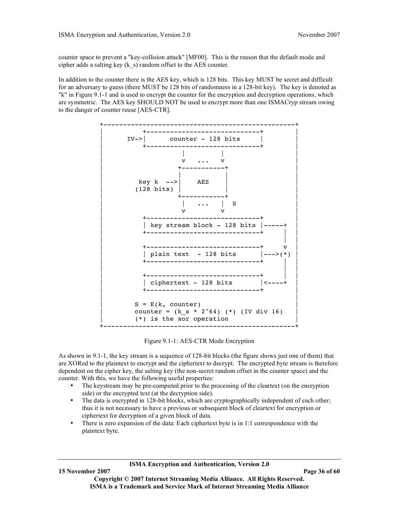counter space to prevent a "key-collision attack" [MF00]. This is the reason that the default mode and cipher adds a salting key (k\_s) random offset to the AES counter.

In addition to the counter there is the AES key, which is 128 bits. This key MUST be secret and difficult for an adversary to guess (there MUST be 128 bits of randomness in a 128-bit key). The key is denoted as "k" in Figure 9.1-1 and is used to encrypt the counter for the encryption and decryption operations, which are symmetric. The AES key SHOULD NOT be used to encrypt more than one ISMACryp stream owing to the danger of counter reuse [AES-CTR].



Figure 9.1-1: AES-CTR Mode Encryption

As shown in 9.1-1, the key stream is a sequence of 128-bit blocks (the figure shows just one of them) that are XORed to the plaintext to encrypt and the ciphertext to decrypt. The encrypted byte stream is therefore dependent on the cipher key, the salting key (the non-secret random offset in the counter space) and the counter. With this, we have the following useful properties:

- The keystream may be pre-computed prior to the processing of the cleartext (on the encryption side) or the encrypted text (at the decryption side).
- The data is encrypted in 128-bit blocks, which are cryptographically independent of each other; thus it is not necessary to have a previous or subsequent block of cleartext for encryption or ciphertext for decryption of a given block of data.
- There is zero expansion of the data: Each ciphertext byte is in 1:1 correspondence with the plaintext byte.

**ISMA Encryption and Authentication, Version 2.0**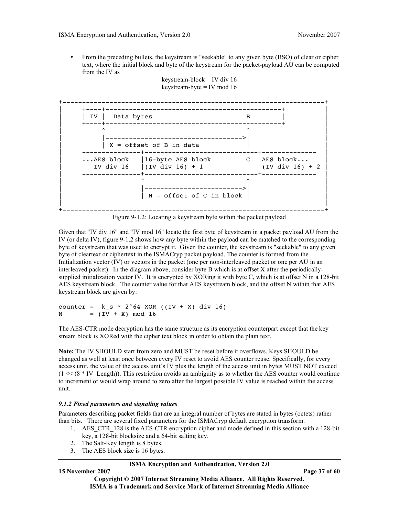• From the preceding bullets, the keystream is "seekable" to any given byte (BSO) of clear or cipher text, where the initial block and byte of the keystream for the packet-payload AU can be computed from the IV as





Figure 9-1.2: Locating a keystream byte within the packet payload

Given that "IV div 16" and "IV mod 16" locate the first byte of keystream in a packet payload AU from the IV (or delta IV), figure 9-1.2 shows how any byte within the payload can be matched to the corresponding byte of keystream that was used to encrypt it. Given the counter, the keystream is "seekable" to any given byte of cleartext or ciphertext in the ISMACryp packet payload. The counter is formed from the Initialization vector (IV) or vectors in the packet (one per non-interleaved packet or one per AU in an interleaved packet). In the diagram above, consider byte B which is at offset X after the periodicallysupplied initialization vector IV. It is encrypted by XORing it with byte C, which is at offset N in a 128-bit AES keystream block. The counter value for that AES keystream block, and the offset N within that AES keystream block are given by:

counter =  $k_s * 2^64$  XOR ((IV + X) div 16)  $N = (IV + X) \mod 16$ 

The AES-CTR mode decryption has the same structure as its encryption counterpart except that the key stream block is XORed with the cipher text block in order to obtain the plain text.

**Note:** The IV SHOULD start from zero and MUST be reset before it overflows. Keys SHOULD be changed as well at least once between every IV reset to avoid AES counter reuse. Specifically, for every access unit, the value of the access unit's IV plus the length of the access unit in bytes MUST NOT exceed  $(1 \ll (8 * IV)$  Length)). This restriction avoids an ambiguity as to whether the AES counter would continue to increment or would wrap around to zero after the largest possible IV value is reached within the access unit.

#### *9.1.2 Fixed parameters and signaling values*

Parameters describing packet fields that are an integral number of bytes are stated in bytes (octets) rather than bits. There are several fixed parameters for the ISMACryp default encryption transform.

- 1. AES\_CTR\_128 is the AES-CTR encryption cipher and mode defined in this section with a 128-bit key, a 128-bit blocksize and a 64-bit salting key.
- 2. The Salt-Key length is 8 bytes.
- 3. The AES block size is 16 bytes.

# **ISMA Encryption and Authentication, Version 2.0**

**15 November 2007 Page 37 of 60**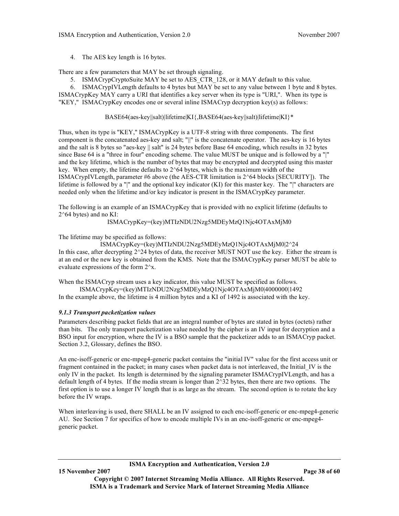4. The AES key length is 16 bytes.

There are a few parameters that MAY be set through signaling.

5. ISMACrypCryptoSuite MAY be set to AES\_CTR\_128, or it MAY default to this value.

6. ISMACrypIVLength defaults to 4 bytes but MAY be set to any value between 1 byte and 8 bytes. ISMACrypKey MAY carry a URI that identifies a key server when its type is "URI,". When its type is "KEY," ISMACrypKey encodes one or several inline ISMACryp decryption key(s) as follows:

#### BASE64(aes-key||salt)|lifetime|KI{,BASE64(aes-key||salt)|lifetime|KI}\*

Thus, when its type is "KEY," ISMACrypKey is a UTF-8 string with three components. The first component is the concatenated aes-key and salt; "||" is the concatenate operator. The aes-key is 16 bytes and the salt is 8 bytes so "aes-key || salt" is 24 bytes before Base 64 encoding, which results in 32 bytes since Base 64 is a "three in four" encoding scheme. The value MUST be unique and is followed by a "|" and the key lifetime, which is the number of bytes that may be encrypted and decrypted using this master key. When empty, the lifetime defaults to 2^64 bytes, which is the maximum width of the ISMACrypIVLength, parameter #6 above (the AES-CTR limitation is  $2^{\wedge}64$  blocks [SECURITY]). The lifetime is followed by a "|" and the optional key indicator (KI) for this master key. The "|" characters are needed only when the lifetime and/or key indicator is present in the ISMACrypKey parameter.

The following is an example of an ISMACrypKey that is provided with no explicit lifetime (defaults to 2^64 bytes) and no KI:

ISMACrypKey=(key)MTIzNDU2Nzg5MDEyMzQ1Njc4OTAxMjM0

The lifetime may be specified as follows:

ISMACrypKey=(key)MTIzNDU2Nzg5MDEyMzQ1Njc4OTAxMjM0|2^24 In this case, after decrypting  $2^2$  bytes of data, the receiver MUST NOT use the key. Either the stream is at an end or the new key is obtained from the KMS. Note that the ISMACrypKey parser MUST be able to evaluate expressions of the form 2^x.

When the ISMACryp stream uses a key indicator, this value MUST be specified as follows. ISMACrypKey=(key)MTIzNDU2Nzg5MDEyMzQ1Njc4OTAxMjM0|4000000|1492

In the example above, the lifetime is 4 million bytes and a KI of 1492 is associated with the key.

# *9.1.3 Transport packetization values*

Parameters describing packet fields that are an integral number of bytes are stated in bytes (octets) rather than bits. The only transport packetization value needed by the cipher is an IV input for decryption and a BSO input for encryption, where the IV is a BSO sample that the packetizer adds to an ISMACryp packet. Section 3.2, Glossary, defines the BSO.

An enc-isoff-generic or enc-mpeg4-generic packet contains the "initial IV" value for the first access unit or fragment contained in the packet; in many cases when packet data is not interleaved, the Initial\_IV is the only IV in the packet. Its length is determined by the signaling parameter ISMACrypIVLength, and has a default length of 4 bytes. If the media stream is longer than 2^32 bytes, then there are two options. The first option is to use a longer IV length that is as large as the stream. The second option is to rotate the key before the IV wraps.

When interleaving is used, there SHALL be an IV assigned to each enc-isoff-generic or enc-mpeg4-generic AU. See Section 7 for specifics of how to encode multiple IVs in an enc-isoff-generic or enc-mpeg4 generic packet.

**ISMA Encryption and Authentication, Version 2.0**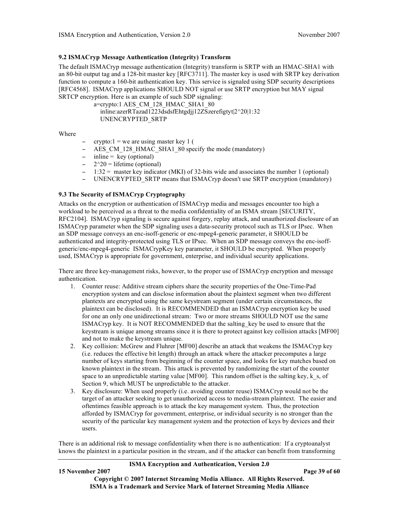# **9.2 ISMACryp Message Authentication (Integrity) Transform**

The default ISMACryp message authentication (Integrity) transform is SRTP with an HMAC-SHA1 with an 80-bit output tag and a 128-bit master key [RFC3711]. The master key is used with SRTP key derivation function to compute a 160-bit authentication key. This service is signaled using SDP security descriptions [RFC4568]. ISMACryp applications SHOULD NOT signal or use SRTP encryption but MAY signal SRTCP encryption. Here is an example of such SDP signaling:

> a=crypto:1 AES\_CM\_128\_HMAC\_SHA1\_80 inline:azerRTazad1223dsdsfEhtgdjj12ZSzerefigtyt|2^20|1:32 UNENCRYPTED\_SRTP

Where

- $\text{crypto:1}$  = we are using master key 1 (
- − AES CM\_128\_HMAC\_SHA1\_80 specify the mode (mandatory)
- − inline = key (optional)
- − 2^20 = lifetime (optional)
- − 1:32 = master key indicator (MKI) of 32-bits wide and associates the number 1 (optional)
- − UNENCRYPTED\_SRTP means that ISMACryp doesn't use SRTP encryption (mandatory)

#### **9.3 The Security of ISMACryp Cryptography**

Attacks on the encryption or authentication of ISMACryp media and messages encounter too high a workload to be perceived as a threat to the media confidentiality of an ISMA stream [SECURITY, RFC2104]. ISMACryp signaling is secure against forgery, replay attack, and unauthorized disclosure of an ISMACryp parameter when the SDP signaling uses a data-security protocol such as TLS or IPsec. When an SDP message conveys an enc-isoff-generic or enc-mpeg4-generic parameter, it SHOULD be authenticated and integrity-protected using TLS or IPsec. When an SDP message conveys the enc-isoffgeneric/enc-mpeg4-generic ISMACrypKey key parameter, it SHOULD be encrypted. When properly used, ISMACryp is appropriate for government, enterprise, and individual security applications.

There are three key-management risks, however, to the proper use of ISMACryp encryption and message authentication.

- 1. Counter reuse: Additive stream ciphers share the security properties of the One-Time-Pad encryption system and can disclose information about the plaintext segment when two different plantexts are encrypted using the same keystream segment (under certain circumstances, the plaintext can be disclosed). It is RECOMMENDED that an ISMACryp encryption key be used for one an only one unidirectional stream: Two or more streams SHOULD NOT use the same ISMACryp key. It is NOT RECOMMENDED that the salting\_key be used to ensure that the keystream is unique among streams since it is there to protect against key collision attacks [MF00] and not to make the keystream unique.
- 2. Key collision: McGrew and Fluhrer [MF00] describe an attack that weakens the ISMACryp key (i.e. reduces the effective bit length) through an attack where the attacker precomputes a large number of keys starting from beginning of the counter space, and looks for key matches based on known plaintext in the stream. This attack is prevented by randomizing the start of the counter space to an unpredictable starting value [MF00]. This random offset is the salting key,  $k$  s, of Section 9, which MUST be unpredictable to the attacker.
- 3. Key disclosure: When used properly (i.e. avoiding counter reuse) ISMACryp would not be the target of an attacker seeking to get unauthorized access to media-stream plaintext. The easier and oftentimes feasible approach is to attack the key management system. Thus, the protection afforded by ISMACryp for government, enterprise, or individual security is no stronger than the security of the particular key management system and the protection of keys by devices and their users.

There is an additional risk to message confidentiality when there is no authentication: If a cryptoanalyst knows the plaintext in a particular position in the stream, and if the attacker can benefit from transforming

#### **ISMA Encryption and Authentication, Version 2.0**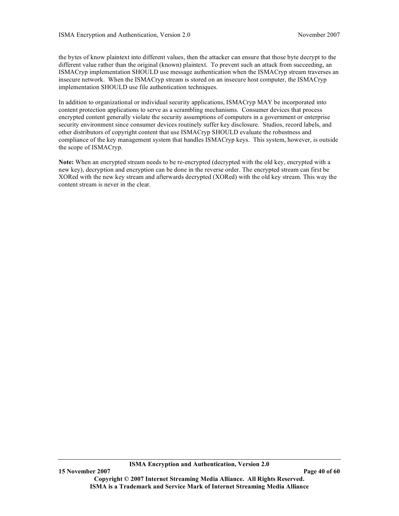the bytes of know plaintext into different values, then the attacker can ensure that those byte decrypt to the different value rather than the original (known) plaintext. To prevent such an attack from succeeding, an ISMACryp implementation SHOULD use message authentication when the ISMACryp stream traverses an insecure network. When the ISMACryp stream is stored on an insecure host computer, the ISMACryp implementation SHOULD use file authentication techniques.

In addition to organizational or individual security applications, ISMACryp MAY be incorporated into content protection applications to serve as a scrambling mechanisms. Consumer devices that process encrypted content generally violate the security assumptions of computers in a government or enterprise security environment since consumer devices routinely suffer key disclosure. Studios, record labels, and other distributors of copyright content that use ISMACryp SHOULD evaluate the robustness and compliance of the key management system that handles ISMACryp keys. This system, however, is outside the scope of ISMACryp.

**Note:** When an encrypted stream needs to be re-encrypted (decrypted with the old key, encrypted with a new key), decryption and encryption can be done in the reverse order. The encrypted stream can first be XORed with the new key stream and afterwards decrypted (XORed) with the old key stream. This way the content stream is never in the clear.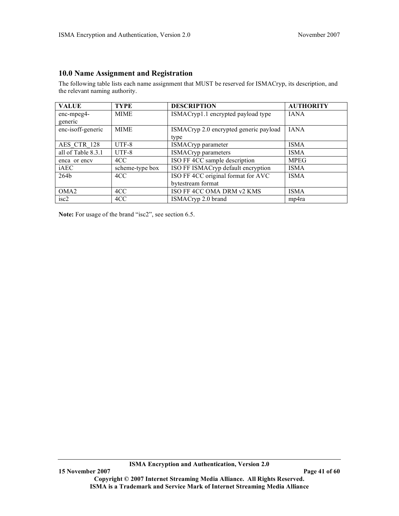# **10.0 Name Assignment and Registration**

The following table lists each name assignment that MUST be reserved for ISMACryp, its description, and the relevant naming authority.

| <b>VALUE</b>       | <b>TYPE</b>     | <b>DESCRIPTION</b>                     | <b>AUTHORITY</b> |
|--------------------|-----------------|----------------------------------------|------------------|
| enc-mpeg4-         | <b>MIME</b>     | ISMACryp1.1 encrypted payload type     | <b>IANA</b>      |
| generic            |                 |                                        |                  |
| enc-isoff-generic  | <b>MIME</b>     | ISMACryp 2.0 encrypted generic payload | <b>JANA</b>      |
|                    |                 | type                                   |                  |
| AES CTR 128        | UTF-8           | ISMACryp parameter                     | <b>ISMA</b>      |
| all of Table 8.3.1 | UTF-8           | <b>ISMACryp</b> parameters             | <b>ISMA</b>      |
| enca or ency       | 4CC             | ISO FF 4CC sample description          | <b>MPEG</b>      |
| iAEC               | scheme-type box | ISO FF ISMACryp default encryption     | <b>ISMA</b>      |
| 264b               | 4CC             | ISO FF 4CC original format for AVC     | <b>ISMA</b>      |
|                    |                 | bytestream format                      |                  |
| OMA <sub>2</sub>   | 4CC             | ISO FF 4CC OMA DRM v2 KMS              | <b>ISMA</b>      |
| isc2               | 4CC             | ISMACryp 2.0 brand                     | mp4ra            |

**Note:** For usage of the brand "isc2", see section 6.5.

**ISMA Encryption and Authentication, Version 2.0**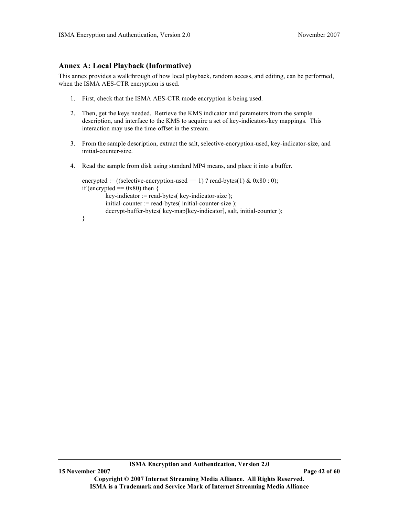# **Annex A: Local Playback (Informative)**

This annex provides a walkthrough of how local playback, random access, and editing, can be performed, when the ISMA AES-CTR encryption is used.

- 1. First, check that the ISMA AES-CTR mode encryption is being used.
- 2. Then, get the keys needed. Retrieve the KMS indicator and parameters from the sample description, and interface to the KMS to acquire a set of key-indicators/key mappings. This interaction may use the time-offset in the stream.
- 3. From the sample description, extract the salt, selective-encryption-used, key-indicator-size, and initial-counter-size.
- 4. Read the sample from disk using standard MP4 means, and place it into a buffer.

```
encrypted := ((selective-encryption-used == 1) ? read-bytes(1) & 0x80:0;
if (encrypted = 0x80) then {
         key\text{-}\text{indicate}: = read-bytes( key-indicator-size);
         initial-counter := read-bytes( initial-counter-size);
         decrypt-buffer-bytes( key-map[key-indicator], salt, initial-counter );
```
}

**<sup>15</sup> November 2007 Page 42 of 60**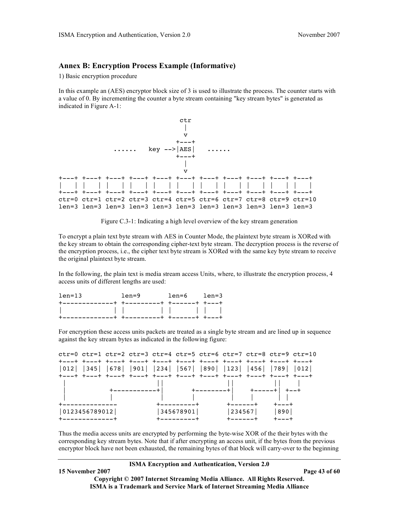# **Annex B: Encryption Process Example (Informative)**

1) Basic encryption procedure

In this example an (AES) encryptor block size of 3 is used to illustrate the process. The counter starts with a value of 0. By incrementing the counter a byte stream containing "key stream bytes" is generated as indicated in Figure A-1:





To encrypt a plain text byte stream with AES in Counter Mode, the plaintext byte stream is XORed with the key stream to obtain the corresponding cipher-text byte stream. The decryption process is the reverse of the encryption process, i.e., the cipher text byte stream is XORed with the same key byte stream to receive the original plaintext byte stream.

In the following, the plain text is media stream access Units, where, to illustrate the encryption process, 4 access units of different lengths are used:

| $len=13$ | len=9 len=6 len=3 |  |
|----------|-------------------|--|
|          |                   |  |
|          |                   |  |
|          |                   |  |

For encryption these access units packets are treated as a single byte stream and are lined up in sequence against the key stream bytes as indicated in the following figure:

|                 | ctr=0 ctr=1 ctr=2 ctr=3 ctr=4 ctr=5 ctr=6 ctr=7 ctr=8 ctr=9 ctr=10                                                                                                                                    |                         |                   |  |
|-----------------|-------------------------------------------------------------------------------------------------------------------------------------------------------------------------------------------------------|-------------------------|-------------------|--|
|                 | +---+ +---+ +---+ +---+ +---+ +---+ +---+ +---+ +---+ +---+ +---+ +---+                                                                                                                               |                         |                   |  |
|                 | $\vert 012 \vert$ $\vert 345 \vert$ $\vert 678 \vert$ $\vert 901 \vert$ $\vert 234 \vert$ $\vert 567 \vert$ $\vert 890 \vert$ $\vert 123 \vert$ $\vert 456 \vert$ $\vert 789 \vert$ $\vert 012 \vert$ |                         |                   |  |
|                 | +---+ +---+ +---+ +---+ +---+ +---+ +---+ +---+ +---+ +---+ +---+                                                                                                                                     |                         |                   |  |
|                 |                                                                                                                                                                                                       |                         |                   |  |
|                 | ╶╪╼╼╼╼╍╍╍╍╾╾┽╎╶╶┈╴╴╪╼╼╍╍╍╍╍┾╎╶┈╪╍╍╍╍╍╍┾╎┈╪╼╍╪ <b>╎</b>                                                                                                                                                |                         |                   |  |
|                 |                                                                                                                                                                                                       |                         |                   |  |
|                 |                                                                                                                                                                                                       | $+$ - - - - - - - - - + | $+$ - - - - - - + |  |
| 0123456789012   |                                                                                                                                                                                                       | 345678901               | 234567  1890      |  |
| +-------------+ |                                                                                                                                                                                                       | $+ - - - - - - - +$     | $+$ - - - - - - + |  |

Thus the media access units are encrypted by performing the byte-wise XOR of the their bytes with the corresponding key stream bytes. Note that if after encrypting an access unit, if the bytes from the previous encryptor block have not been exhausted, the remaining bytes of that block will carry-over to the beginning

#### **ISMA Encryption and Authentication, Version 2.0**

**15 November 2007 Page 43 of 60**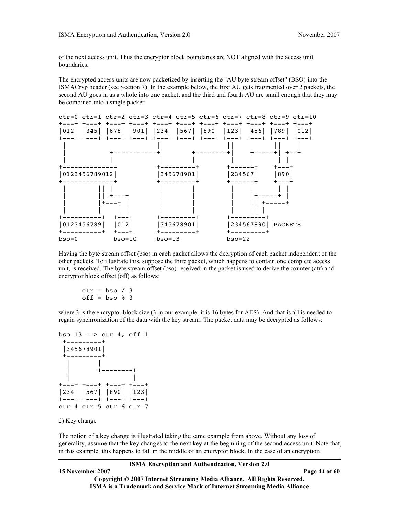of the next access unit. Thus the encryptor block boundaries are NOT aligned with the access unit boundaries.

The encrypted access units are now packetized by inserting the "AU byte stream offset" (BSO) into the ISMACryp header (see Section 7). In the example below, the first AU gets fragmented over 2 packets, the second AU goes in as a whole into one packet, and the third and fourth AU are small enough that they may be combined into a single packet:



Having the byte stream offset (bso) in each packet allows the decryption of each packet independent of the other packets. To illustrate this, suppose the third packet, which happens to contain one complete access unit, is received. The byte stream offset (bso) received in the packet is used to derive the counter (ctr) and encryptor block offset (off) as follows:

```
ctr = bso / 3off = bso % 3
```
where 3 is the encryptor block size (3 in our example; it is 16 bytes for AES). And that is all is needed to regain synchronization of the data with the key stream. The packet data may be decrypted as follows:

```
bso=13 ==> ctr=4, off=1
 +---------+
 |345678901|
 +---------+
         \blacksquare| +--------+
  | |
+---+ +---+ +---+ +---+
|234| |567| |890| |123|
+---+ +---+ +---+ +---+
ctr=4 ctr=5 ctr=6 ctr=7
```
#### 2) Key change

The notion of a key change is illustrated taking the same example from above. Without any loss of generality, assume that the key changes to the next key at the beginning of the second access unit. Note that, in this example, this happens to fall in the middle of an encryptor block. In the case of an encryption

# **ISMA Encryption and Authentication, Version 2.0**

**Copyright © 2007 Internet Streaming Media Alliance. All Rights Reserved. ISMA is a Trademark and Service Mark of Internet Streaming Media Alliance**

**15 November 2007 Page 44 of 60**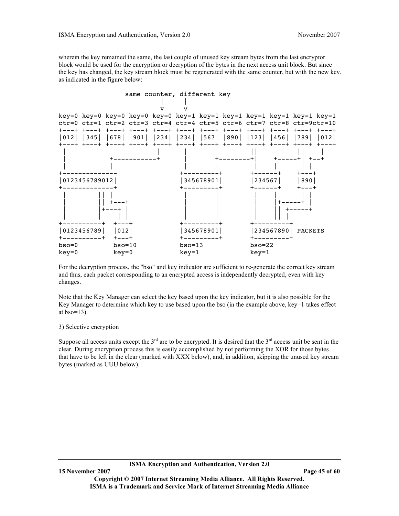wherein the key remained the same, the last couple of unused key stream bytes from the last encryptor block would be used for the encryption or decryption of the bytes in the next access unit block. But since the key has changed, the key stream block must be regenerated with the same counter, but with the new key, as indicated in the figure below:

|          |                                                                               |             |            | same counter, different key |           |           |           |         |  |
|----------|-------------------------------------------------------------------------------|-------------|------------|-----------------------------|-----------|-----------|-----------|---------|--|
|          |                                                                               |             |            |                             |           |           |           |         |  |
|          |                                                                               |             |            |                             |           |           |           |         |  |
|          | key=0 key=0 key=0 key=0 key=0 key=1 key=1 key=1 key=1 key=1 key=1 key=1       |             |            |                             |           |           |           |         |  |
|          | ctr=0 ctr=1 ctr=2 ctr=3 ctr=4 ctr=4 ctr=5 ctr=6 ctr=7 ctr=8 ctr=9ctr=10       |             |            |                             |           |           |           |         |  |
|          | +---+ +---+ +---+ +---+ +---+ +---+ +---+ +---+ +---+ +---+ +---+ +---+ +---+ |             |            |                             |           |           |           |         |  |
|          | 012   345   678   901   234   234   567   890   123   456   789   012         |             |            |                             |           |           |           |         |  |
|          | +---+ +---+ +---+ +---+ +---+ +---+ +---+ +---+ +---+ +---+ +---+ +---+       |             |            |                             |           |           |           |         |  |
|          |                                                                               |             |            |                             |           |           |           |         |  |
|          |                                                                               |             | ---------- |                             |           |           | +-----+1  |         |  |
|          |                                                                               |             |            |                             |           |           |           |         |  |
|          |                                                                               |             |            |                             |           | ナーーーーーー十  |           |         |  |
|          | 0123456789012                                                                 |             |            |                             | 345678901 | 234567    |           | 890     |  |
|          |                                                                               |             |            |                             |           |           | +------+  | キーーーキ   |  |
|          |                                                                               |             |            |                             |           |           |           |         |  |
|          |                                                                               |             |            |                             |           |           |           |         |  |
|          |                                                                               | $+ - - - +$ |            |                             |           |           |           |         |  |
|          |                                                                               | $+ - - - +$ |            |                             |           |           |           |         |  |
|          |                                                                               |             |            |                             |           |           |           |         |  |
|          | 0123456789                                                                    | 012         |            |                             | 345678901 |           | 234567890 | PACKETS |  |
|          | ---------+                                                                    | $+ - - - +$ |            | +--------                   |           | +-------- |           |         |  |
| $b$ so=0 |                                                                               | $bso=10$    |            | $bso=13$                    |           | $bso=22$  |           |         |  |
| $key=0$  |                                                                               | $key=0$     |            | $key=1$                     |           | $key=1$   |           |         |  |

For the decryption process, the "bso" and key indicator are sufficient to re-generate the correct key stream and thus, each packet corresponding to an encrypted access is independently decrypted, even with key changes.

Note that the Key Manager can select the key based upon the key indicator, but it is also possible for the Key Manager to determine which key to use based upon the bso (in the example above, key=1 takes effect at bso=13).

#### 3) Selective encryption

Suppose all access units except the  $3<sup>rd</sup>$  are to be encrypted. It is desired that the  $3<sup>rd</sup>$  access unit be sent in the clear. During encryption process this is easily accomplished by not performing the XOR for those bytes that have to be left in the clear (marked with XXX below), and, in addition, skipping the unused key stream bytes (marked as UUU below).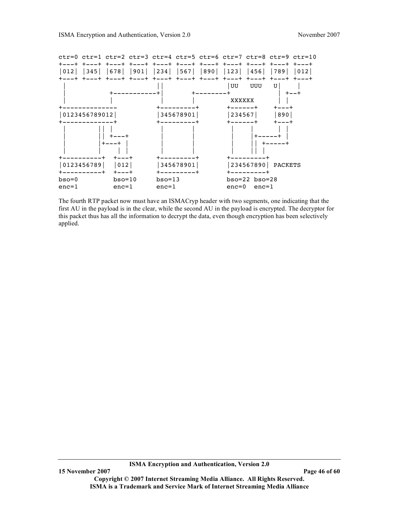

The fourth RTP packet now must have an ISMACryp header with two segments, one indicating that the first AU in the payload is in the clear, while the second AU in the payload is encrypted. The decryptor for this packet thus has all the information to decrypt the data, even though encryption has been selectively applied.

**<sup>15</sup> November 2007 Page 46 of 60**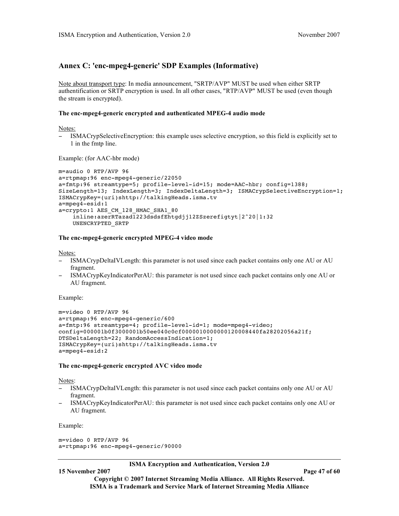# **Annex C: 'enc-mpeg4-generic' SDP Examples (Informative)**

Note about transport type: In media announcement, "SRTP/AVP" MUST be used when either SRTP authentification or SRTP encryption is used. In all other cases, "RTP/AVP" MUST be used (even though the stream is encrypted).

#### **The enc-mpeg4-generic encrypted and authenticated MPEG-4 audio mode**

Notes:

ISMACrypSelectiveEncryption: this example uses selective encryption, so this field is explicitly set to 1 in the fmtp line.

Example: (for AAC-hbr mode)

```
m=audio 0 RTP/AVP 96
a=rtpmap:96 enc-mpeg4-generic/22050
a=fmtp:96 streamtype=5; profile-level-id=15; mode=AAC-hbr; config=1388;
SizeLength=13; IndexLength=3; IndexDeltaLength=3; ISMACrypSelectiveEncryption=1;
ISMACrypKey=(uri)shttp://talkingHeads.isma.tv
a=mpeg4-esid:1
a=crypto:1 AES_CM_128_HMAC_SHA1_80
    inline:azerRTazad1223dsdsfEhtgdjj12ZSzerefigtyt|2^20|1:32
   UNENCRYPTED_SRTP
```
#### **The enc-mpeg4-generic encrypted MPEG-4 video mode**

Notes:

- − ISMACrypDeltaIVLength: this parameter is not used since each packet contains only one AU or AU fragment.
- − ISMACrypKeyIndicatorPerAU: this parameter is not used since each packet contains only one AU or AU fragment.

Example:

```
m=video 0 RTP/AVP 96
a=rtpmap:96 enc-mpeg4-generic/600
a=fmtp:96 streamtype=4; profile-level-id=1; mode=mpeg4-video;
config=000001b0f3000001b50ee040c0cf0000010000000120008440fa28202056a21f;
DTSDeltaLength=22; RandomAccessIndication=1;
ISMACrypKey=(uri)shttp://talkingHeads.isma.tv
a=mpeg4-esid:2
```
#### **The enc-mpeg4-generic encrypted AVC video mode**

Notes:

- − ISMACrypDeltaIVLength: this parameter is not used since each packet contains only one AU or AU fragment.
- − ISMACrypKeyIndicatorPerAU: this parameter is not used since each packet contains only one AU or AU fragment.

Example:

```
m=video 0 RTP/AVP 96
a=rtpmap:96 enc-mpeg4-generic/90000
```
**ISMA Encryption and Authentication, Version 2.0**

**15 November 2007 Page 47 of 60**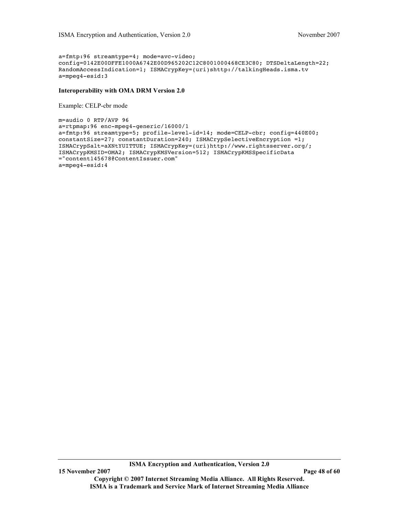ISMA Encryption and Authentication, Version 2.0 November 2007

```
a=fmtp:96 streamtype=4; mode=avc-video;
config=0142E00DFFE1000A6742E00D965202C12C8001000468CE3C80; DTSDeltaLength=22;
RandomAccessIndication=1; ISMACrypKey=(uri)shttp://talkingHeads.isma.tv
a=mpeg4-esid:3
```
#### **Interoperability with OMA DRM Version 2.0**

Example: CELP-cbr mode

```
m=audio 0 RTP/AVP 96
a=rtpmap:96 enc-mpeg4-generic/16000/1
a=fmtp:96 streamtype=5; profile-level-id=14; mode=CELP-cbr; config=440E00;
constantSize=27; constantDuration=240; ISMACrypSelectiveEncryption =1;
ISMACrypSalt=aXNtYUITTUE; ISMACrypKey=(uri)http://www.rightsserver.org/;
ISMACrypKMSID=OMA2; ISMACrypKMSVersion=512; ISMACrypKMSSpecificData
="content145678@ContentIssuer.com"
a=mpeg4-esid:4
```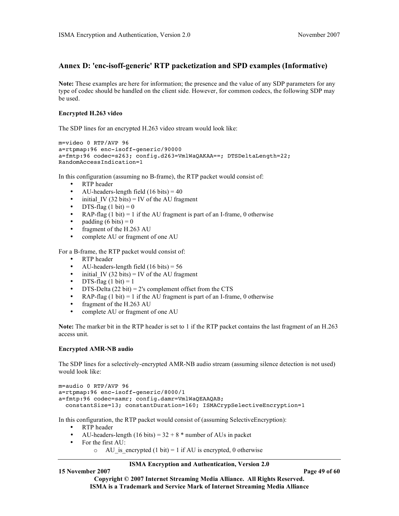# **Annex D: 'enc-isoff-generic' RTP packetization and SPD examples (Informative)**

**Note:** These examples are here for information; the presence and the value of any SDP parameters for any type of codec should be handled on the client side. However, for common codecs, the following SDP may be used.

#### **Encrypted H.263 video**

The SDP lines for an encrypted H.263 video stream would look like:

```
m=video 0 RTP/AVP 96
a=rtpmap:96 enc-isoff-generic/90000
a=fmtp:96 codec=s263; config.d263=VmlWaQAKAA==; DTSDeltaLength=22;
RandomAccessIndication=1
```
In this configuration (assuming no B-frame), the RTP packet would consist of:

- RTP header
- AU-headers-length field (16 bits) = 40<br>• initial IV (32 bits) = IV of the ALL frage
- initial IV (32 bits) = IV of the AU fragment
- DTS-flag (1 bit) = 0
- RAP-flag  $(1 \text{ bit}) = 1$  if the AU fragment is part of an I-frame, 0 otherwise
- padding  $(6 \text{ bits}) = 0$
- fragment of the H.263 AU
- complete AU or fragment of one AU

For a B-frame, the RTP packet would consist of:

- RTP header
- AU-headers-length field  $(16 \text{ bits}) = 56$
- initial IV (32 bits) = IV of the AU fragment
- DTS-flag  $(1 \text{ bit}) = 1$
- DTS-Delta  $(22 \text{ bit}) = 2\text{'s complement offset from the CTS}$
- RAP-flag  $(1 \text{ bit}) = 1$  if the AU fragment is part of an I-frame, 0 otherwise
- fragment of the H.263 AU
- complete AU or fragment of one AU

**Note:** The marker bit in the RTP header is set to 1 if the RTP packet contains the last fragment of an H.263 access unit.

# **Encrypted AMR-NB audio**

The SDP lines for a selectively-encrypted AMR-NB audio stream (assuming silence detection is not used) would look like:

```
m=audio 0 RTP/AVP 96
a=rtpmap:96 enc-isoff-generic/8000/1
a=fmtp:96 codec=samr; config.damr=VmlWaQEAAQAB;
 constantSize=13; constantDuration=160; ISMACrypSelectiveEncryption=1
```
In this configuration, the RTP packet would consist of (assuming SelectiveEncryption):

- RTP header
- AU-headers-length (16 bits) =  $32 + 8$  \* number of AUs in packet
- For the first AU:
	- $\circ$  AU is encrypted (1 bit) = 1 if AU is encrypted, 0 otherwise

#### **ISMA Encryption and Authentication, Version 2.0**

**15 November 2007 Page 49 of 60**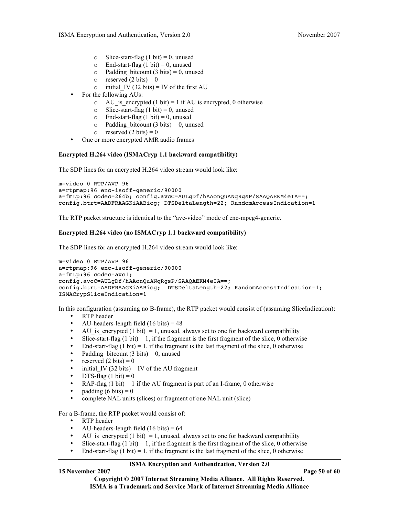- o Slice-start-flag (1 bit) = 0, unused<br>  $\circ$  End-start-flag (1 bit) = 0, unused
- End-start-flag (1 bit) = 0, unused
- $\circ$  Padding bitcount (3 bits) = 0, unused
- o reserved  $(2 \text{ bits}) = 0$
- o initial IV (32 bits) = IV of the first AU
- For the following AUs:
	- o AU is encrypted (1 bit) = 1 if AU is encrypted, 0 otherwise
	- $\circ$  Slice-start-flag (1 bit) = 0, unused
	- $\circ$  End-start-flag (1 bit) = 0, unused
	- $\circ$  Padding\_bitcount (3 bits) = 0, unused
	- o reserved  $(2 \text{ bits}) = 0$
- One or more encrypted AMR audio frames

#### **Encrypted H.264 video (ISMACryp 1.1 backward compatibility)**

The SDP lines for an encrypted H.264 video stream would look like:

```
m=video 0 RTP/AVP 96
a=rtpmap:96 enc-isoff-generic/90000
a=fmtp:96 codec=264b; config.avcC=AULgDf/hAAonQuANqRgsP/SAAQAEKM4eIA==;
config.btrt=AADFRAAGKiAABiog; DTSDeltaLength=22; RandomAccessIndication=1
```
The RTP packet structure is identical to the "avc-video" mode of enc-mpeg4-generic.

#### **Encrypted H.264 video (no ISMACryp 1.1 backward compatibility)**

The SDP lines for an encrypted H.264 video stream would look like:

```
m=video 0 RTP/AVP 96
a=rtpmap:96 enc-isoff-generic/90000
a=fmtp:96 codec=avc1;
config.avcC=AULgDf/hAAonQuANqRgsP/SAAQAEKM4eIA==;
config.btrt=AADFRAAGKiAABiog; DTSDeltaLength=22; RandomAccessIndication=1;
ISMACrypSliceIndication=1
```
In this configuration (assuming no B-frame), the RTP packet would consist of (assuming SliceIndication):

- RTP header
- AU-headers-length field  $(16 \text{ bits}) = 48$
- AU is encrypted (1 bit) = 1, unused, always set to one for backward compatibility
- Slice-start-flag  $(1 \text{ bit}) = 1$ , if the fragment is the first fragment of the slice, 0 otherwise
- End-start-flag  $(1 \text{ bit}) = 1$ , if the fragment is the last fragment of the slice, 0 otherwise
- Padding bitcount (3 bits) = 0, unused
- reserved (2 bits) =  $0$
- initial\_IV (32 bits) = IV of the AU fragment
- DTS-flag (1 bit) = 0<br>• RAP flag (1 bit) = 1
- RAP-flag  $(1 \text{ bit}) = 1$  if the AU fragment is part of an I-frame, 0 otherwise
- padding  $(6 \text{ bits}) = 0$
- complete NAL units (slices) or fragment of one NAL unit (slice)

For a B-frame, the RTP packet would consist of:

- RTP header
- AU-headers-length field  $(16 \text{ bits}) = 64$
- AU\_is\_encrypted (1 bit) = 1, unused, always set to one for backward compatibility
- Slice-start-flag (1 bit) = 1, if the fragment is the first fragment of the slice, 0 otherwise
- End-start-flag  $(1 \text{ bit}) = 1$ , if the fragment is the last fragment of the slice, 0 otherwise

#### **ISMA Encryption and Authentication, Version 2.0**

**15 November 2007 Page 50 of 60**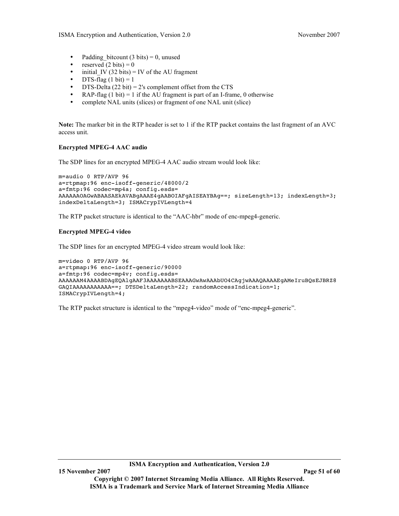- Padding\_bitcount  $(3 \text{ bits}) = 0$ , unused
- reserved  $(2 \text{ bits}) = 0$ <br>• initial IV (32 hite)
- initial IV (32 bits) = IV of the AU fragment
- DTS-flag  $(1 \text{ bit}) = 1$
- DTS-Delta  $(22 \text{ bit}) = 2\text{'s complement offset from the  $\text{CTS}$$
- RAP-flag  $(1 \text{ bit}) = 1$  if the AU fragment is part of an I-frame, 0 otherwise
- complete NAL units (slices) or fragment of one NAL unit (slice)

**Note:** The marker bit in the RTP header is set to 1 if the RTP packet contains the last fragment of an AVC access unit.

#### **Encrypted MPEG-4 AAC audio**

The SDP lines for an encrypted MPEG-4 AAC audio stream would look like:

```
m=audio 0 RTP/AVP 96
a=rtpmap:96 enc-isoff-generic/48000/2
a=fmtp:96 codec=mp4a; config.esds=
AAAAAAOAGwABAASAEkAVABgAAAE4gAABOIAFgAISEAYBAg==; sizeLength=13; indexLength=3;
indexDeltaLength=3; ISMACrypIVLength=4
```
The RTP packet structure is identical to the "AAC-hbr" mode of enc-mpeg4-generic.

#### **Encrypted MPEG-4 video**

The SDP lines for an encrypted MPEG-4 video stream would look like:

```
m=video 0 RTP/AVP 96
a=rtpmap:96 enc-isoff-generic/90000
a=fmtp:96 codec=mp4v; config.esds=
AAAAAAM4AAAABDAgEQAlgAAF3AAAAAAABSEAAAGwAwAAAbUO4CAgjwAAAQAAAAEgAMeIruBQsEJBRZ8
GAQIAAAAAAAAAAA==; DTSDeltaLength=22; randomAccessIndication=1;
ISMACrypIVLength=4;
```
The RTP packet structure is identical to the "mpeg4-video" mode of "enc-mpeg4-generic".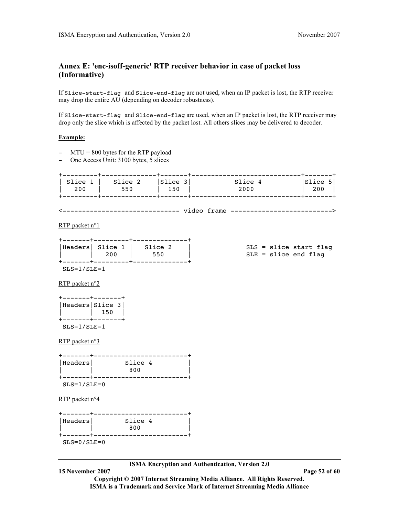# **Annex E: 'enc-isoff-generic' RTP receiver behavior in case of packet loss (Informative)**

If Slice-start-flag and Slice-end-flag are not used, when an IP packet is lost, the RTP receiver may drop the entire AU (depending on decoder robustness).

If Slice-start-flag and Slice-end-flag are used, when an IP packet is lost, the RTP receiver may drop only the slice which is affected by the packet lost. All others slices may be delivered to decoder.

#### **Example:**

- − MTU = 800 bytes for the RTP payload
- − One Access Unit: 3100 bytes, 5 slices

+---------+--------------+-------+----------------------------+-------+ | Slice 1 | Slice 2 | Slice 3| Slice 4 | Slice 5| | 200 | 550 | 150 | 2000 | 200 | +---------+--------------+-------+----------------------------+-------+ <------------------------------ video frame --------------------------> RTP packet n°1 +-------+---------+--------------+ |Headers| Slice 1 | Slice 2 | SLS = slice start flag | | 200 | 550 | SLE = slice end flag +-------+---------+--------------+ SLS=1/SLE=1 RTP packet n°2 +-------+-------+ |Headers|Slice 3| | | 150 | +-------+-------+ SLS=1/SLE=1 RTP packet n°3 +-------+------------------------+ |Headers| Slice 4 | | | 800 | +-------+------------------------+ SLS=1/SLE=0 RTP packet n°4 +-------+------------------------+ |Headers| Slice 4 | | | 800 | +-------+------------------------+  $SLS=0$ / $SLE=0$ 

**ISMA Encryption and Authentication, Version 2.0**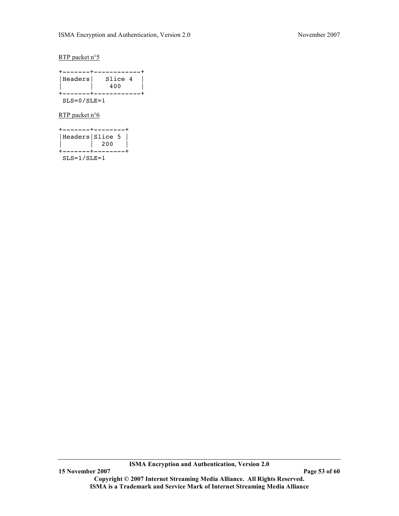# RTP packet n°5

|                   | . _ _ _ _ _ _ + _ _ _ _ _ _ _ _ _ _ _ _ |  |
|-------------------|-----------------------------------------|--|
| Headers           | Slice 4<br>400                          |  |
| $SLS=0$ / $SLE=1$ | ._______+____________                   |  |
|                   |                                         |  |

#### RTP packet n°6

| +-------+--------+ |                 |  |
|--------------------|-----------------|--|
| Headers Slice 5    | 200             |  |
| $SLS=1/SLF=1$      | -----+--------+ |  |

**ISMA Encryption and Authentication, Version 2.0**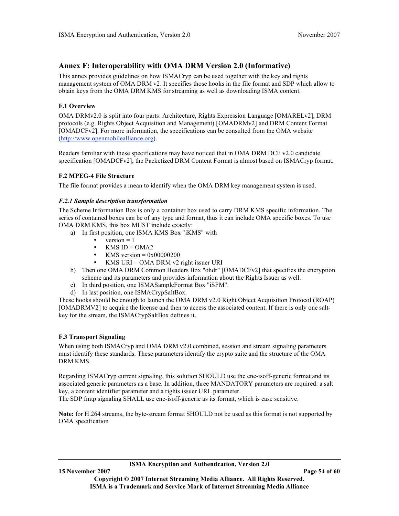# **Annex F: Interoperability with OMA DRM Version 2.0 (Informative)**

This annex provides guidelines on how ISMACryp can be used together with the key and rights management system of OMA DRM v2. It specifies those hooks in the file format and SDP which allow to obtain keys from the OMA DRM KMS for streaming as well as downloading ISMA content.

# **F.1 Overview**

OMA DRMv2.0 is split into four parts: Architecture, Rights Expression Language [OMARELv2], DRM protocols (e.g. Rights Object Acquisition and Management) [OMADRMv2] and DRM Content Format [OMADCFv2]. For more information, the specifications can be consulted from the OMA website (http://www.openmobilealliance.org).

Readers familiar with these specifications may have noticed that in OMA DRM DCF  $v2.0$  candidate specification [OMADCFv2], the Packetized DRM Content Format is almost based on ISMACryp format.

# **F.2 MPEG-4 File Structure**

The file format provides a mean to identify when the OMA DRM key management system is used.

# *F.2.1 Sample description transformation*

The Scheme Information Box is only a container box used to carry DRM KMS specific information. The series of contained boxes can be of any type and format, thus it can include OMA specific boxes. To use OMA DRM KMS, this box MUST include exactly:

- a) In first position, one ISMA KMS Box "iKMS" with
	- version = 1<br>•  $VMS \text{ ID} = 0$
	- KMS ID = OMA2<br>• KMS version = 0x
	- KMS version = 0x00000200<br>• KMS URI = OMA DRM  $v^2$
	- KMS URI = OMA DRM  $v2$  right issuer URI
- b) Then one OMA DRM Common Headers Box "ohdr" [OMADCFv2] that specifies the encryption scheme and its parameters and provides information about the Rights Issuer as well.
- c) In third position, one ISMASampleFormat Box "iSFM".
- d) In last position, one ISMACrypSaltBox.

These hooks should be enough to launch the OMA DRM v2.0 Right Object Acquisition Protocol (ROAP) [OMADRMV2] to acquire the license and then to access the associated content. If there is only one saltkey for the stream, the ISMACrypSaltBox defines it.

# **F.3 Transport Signaling**

When using both ISMACryp and OMA DRM v2.0 combined, session and stream signaling parameters must identify these standards. These parameters identify the crypto suite and the structure of the OMA DRM KMS.

Regarding ISMACryp current signaling, this solution SHOULD use the enc-isoff-generic format and its associated generic parameters as a base. In addition, three MANDATORY parameters are required: a salt key, a content identifier parameter and a rights issuer URL parameter. The SDP fmtp signaling SHALL use enc-isoff-generic as its format, which is case sensitive.

**Note:** for H.264 streams, the byte-stream format SHOULD not be used as this format is not supported by OMA specification

**ISMA Encryption and Authentication, Version 2.0**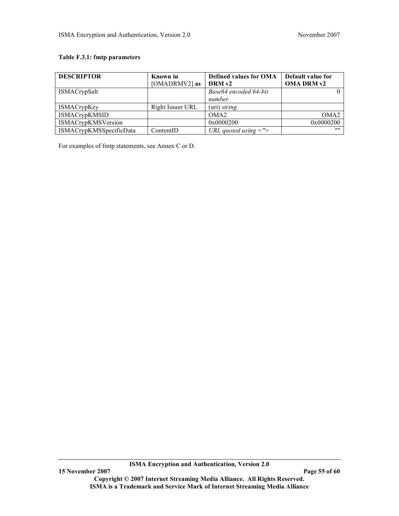# **Table F.3.1: fmtp parameters**

| <b>DESCRIPTOR</b>       | Known in         | <b>Defined values for OMA</b>  | Default value for |
|-------------------------|------------------|--------------------------------|-------------------|
|                         | [OMADRMV2] as    | DRM v2                         | <b>OMA DRM v2</b> |
| <b>ISMACrypSalt</b>     |                  | Base64 encoded 64-bit          |                   |
|                         |                  | number                         |                   |
| <b>ISMACrypKey</b>      | Right Issuer URL | (i) string                     |                   |
| <b>ISMACrypKMSID</b>    |                  | OMA2                           | OMA <sub>2</sub>  |
| ISMACrypKMSVersion      |                  | 0x0000200                      | 0x0000200         |
| ISMACrypKMSSpecificData | ContentID        | URI, quoted using $\langle$ "> | 1111              |

For examples of fmtp statements, see Annex C or D.

**ISMA Encryption and Authentication, Version 2.0**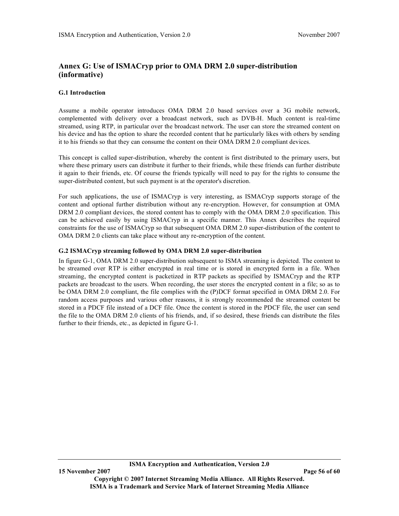# **Annex G: Use of ISMACryp prior to OMA DRM 2.0 super-distribution (informative)**

## **G.1 Introduction**

Assume a mobile operator introduces OMA DRM 2.0 based services over a 3G mobile network, complemented with delivery over a broadcast network, such as DVB-H. Much content is real-time streamed, using RTP, in particular over the broadcast network. The user can store the streamed content on his device and has the option to share the recorded content that he particularly likes with others by sending it to his friends so that they can consume the content on their OMA DRM 2.0 compliant devices.

This concept is called super-distribution, whereby the content is first distributed to the primary users, but where these primary users can distribute it further to their friends, while these friends can further distribute it again to their friends, etc. Of course the friends typically will need to pay for the rights to consume the super-distributed content, but such payment is at the operator's discretion.

For such applications, the use of ISMACryp is very interesting, as ISMACryp supports storage of the content and optional further distribution without any re-encryption. However, for consumption at OMA DRM 2.0 compliant devices, the stored content has to comply with the OMA DRM 2.0 specification. This can be achieved easily by using ISMACryp in a specific manner. This Annex describes the required constraints for the use of ISMACryp so that subsequent OMA DRM 2.0 super-distribution of the content to OMA DRM 2.0 clients can take place without any re-encryption of the content.

#### **G.2 ISMACryp streaming followed by OMA DRM 2.0 super-distribution**

In figure G-1, OMA DRM 2.0 super-distribution subsequent to ISMA streaming is depicted. The content to be streamed over RTP is either encrypted in real time or is stored in encrypted form in a file. When streaming, the encrypted content is packetized in RTP packets as specified by ISMACryp and the RTP packets are broadcast to the users. When recording, the user stores the encrypted content in a file; so as to be OMA DRM 2.0 compliant, the file complies with the (P)DCF format specified in OMA DRM 2.0. For random access purposes and various other reasons, it is strongly recommended the streamed content be stored in a PDCF file instead of a DCF file. Once the content is stored in the PDCF file, the user can send the file to the OMA DRM 2.0 clients of his friends, and, if so desired, these friends can distribute the files further to their friends, etc., as depicted in figure G-1.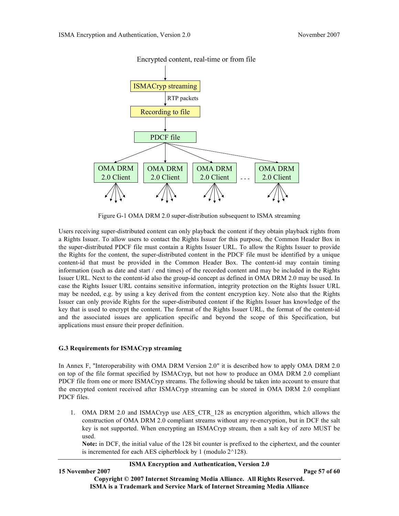

### Encrypted content, real-time or from file

Figure G-1 OMA DRM 2.0 super-distribution subsequent to ISMA streaming

Users receiving super-distributed content can only playback the content if they obtain playback rights from a Rights Issuer. To allow users to contact the Rights Issuer for this purpose, the Common Header Box in the super-distributed PDCF file must contain a Rights Issuer URL. To allow the Rights Issuer to provide the Rights for the content, the super-distributed content in the PDCF file must be identified by a unique content-id that must be provided in the Common Header Box. The content-id may contain timing information (such as date and start / end times) of the recorded content and may be included in the Rights Issuer URL. Next to the content-id also the group-id concept as defined in OMA DRM 2.0 may be used. In case the Rights Issuer URL contains sensitive information, integrity protection on the Rights Issuer URL may be needed, e.g. by using a key derived from the content encryption key. Note also that the Rights Issuer can only provide Rights for the super-distributed content if the Rights Issuer has knowledge of the key that is used to encrypt the content. The format of the Rights Issuer URL, the format of the content-id and the associated issues are application specific and beyond the scope of this Specification, but applications must ensure their proper definition.

#### **G.3 Requirements for ISMACryp streaming**

In Annex F, "Interoperability with OMA DRM Version 2.0" it is described how to apply OMA DRM 2.0 on top of the file format specified by ISMACryp, but not how to produce an OMA DRM 2.0 compliant PDCF file from one or more ISMACryp streams. The following should be taken into account to ensure that the encrypted content received after ISMACryp streaming can be stored in OMA DRM 2.0 compliant PDCF files.

1. OMA DRM 2.0 and ISMACryp use AES\_CTR\_128 as encryption algorithm, which allows the construction of OMA DRM 2.0 compliant streams without any re-encryption, but in DCF the salt key is not supported. When encrypting an ISMACryp stream, then a salt key of zero MUST be used.

**Note:** in DCF, the initial value of the 128 bit counter is prefixed to the ciphertext, and the counter is incremented for each AES cipherblock by 1 (modulo 2^128).

#### **ISMA Encryption and Authentication, Version 2.0**

**15 November 2007 Page 57 of 60**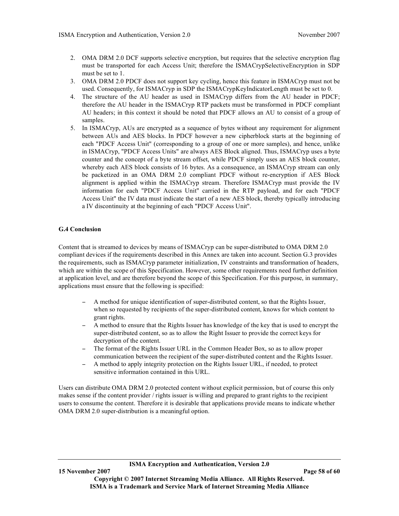- 2. OMA DRM 2.0 DCF supports selective encryption, but requires that the selective encryption flag must be transported for each Access Unit; therefore the ISMACrypSelectiveEncryption in SDP must be set to 1.
- 3. OMA DRM 2.0 PDCF does not support key cycling, hence this feature in ISMACryp must not be used. Consequently, for ISMACryp in SDP the ISMACrypKeyIndicatorLength must be set to 0.
- 4. The structure of the AU header as used in ISMACryp differs from the AU header in PDCF; therefore the AU header in the ISMACryp RTP packets must be transformed in PDCF compliant AU headers; in this context it should be noted that PDCF allows an AU to consist of a group of samples.
- 5. In ISMACryp, AUs are encrypted as a sequence of bytes without any requirement for alignment between AUs and AES blocks. In PDCF however a new cipherblock starts at the beginning of each "PDCF Access Unit" (corresponding to a group of one or more samples), and hence, unlike in ISMACryp, "PDCF Access Units" are always AES Block aligned. Thus, ISMACryp uses a byte counter and the concept of a byte stream offset, while PDCF simply uses an AES block counter, whereby each AES block consists of 16 bytes. As a consequence, an ISMACryp stream can only be packetized in an OMA DRM 2.0 compliant PDCF without re-encryption if AES Block alignment is applied within the ISMACryp stream. Therefore ISMACryp must provide the IV information for each "PDCF Access Unit" carried in the RTP payload, and for each "PDCF Access Unit" the IV data must indicate the start of a new AES block, thereby typically introducing a IV discontinuity at the beginning of each "PDCF Access Unit".

# **G.4 Conclusion**

Content that is streamed to devices by means of ISMACryp can be super-distributed to OMA DRM 2.0 compliant devices if the requirements described in this Annex are taken into account. Section G.3 provides the requirements, such as ISMACryp parameter initialization, IV constraints and transformation of headers, which are within the scope of this Specification. However, some other requirements need further definition at application level, and are therefore beyond the scope of this Specification. For this purpose, in summary, applications must ensure that the following is specified:

- − A method for unique identification of super-distributed content, so that the Rights Issuer, when so requested by recipients of the super-distributed content, knows for which content to grant rights.
- − A method to ensure that the Rights Issuer has knowledge of the key that is used to encrypt the super-distributed content, so as to allow the Right Issuer to provide the correct keys for decryption of the content.
- − The format of the Rights Issuer URL in the Common Header Box, so as to allow proper communication between the recipient of the super-distributed content and the Rights Issuer.
- − A method to apply integrity protection on the Rights Issuer URL, if needed, to protect sensitive information contained in this URL.

Users can distribute OMA DRM 2.0 protected content without explicit permission, but of course this only makes sense if the content provider / rights issuer is willing and prepared to grant rights to the recipient users to consume the content. Therefore it is desirable that applications provide means to indicate whether OMA DRM 2.0 super-distribution is a meaningful option.

**ISMA Encryption and Authentication, Version 2.0**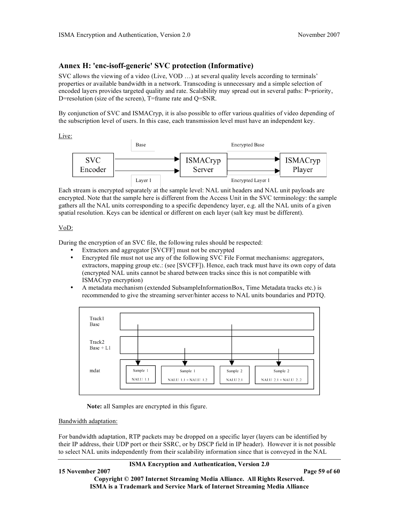# **Annex H: 'enc-isoff-generic' SVC protection (Informative)**

SVC allows the viewing of a video (Live, VOD …) at several quality levels according to terminals' properties or available bandwidth in a network. Transcoding is unnecessary and a simple selection of encoded layers provides targeted quality and rate. Scalability may spread out in several paths: P=priority, D=resolution (size of the screen), T=frame rate and Q=SNR.

By conjunction of SVC and ISMACryp, it is also possible to offer various qualities of video depending of the subscription level of users. In this case, each transmission level must have an independent key.

Live:



Each stream is encrypted separately at the sample level: NAL unit headers and NAL unit payloads are encrypted. Note that the sample here is different from the Access Unit in the SVC terminology: the sample gathers all the NAL units corresponding to a specific dependency layer, e.g. all the NAL units of a given spatial resolution. Keys can be identical or different on each layer (salt key must be different).

# VoD:

During the encryption of an SVC file, the following rules should be respected:

- Extractors and aggregator [SVCFF] must not be encrypted
- Encrypted file must not use any of the following SVC File Format mechanisms: aggregators, extractors, mapping group etc.: (see [SVCFF]). Hence, each track must have its own copy of data (encrypted NAL units cannot be shared between tracks since this is not compatible with ISMACryp encryption)
- A metadata mechanism (extended SubsampleInformationBox, Time Metadata tracks etc.) is recommended to give the streaming server/hinter access to NAL units boundaries and PDTQ.

![](_page_58_Figure_13.jpeg)

**Note:** all Samples are encrypted in this figure.

#### Bandwidth adaptation:

For bandwidth adaptation, RTP packets may be dropped on a specific layer (layers can be identified by their IP address, their UDP port or their SSRC, or by DSCP field in IP header). However it is not possible to select NAL units independently from their scalability information since that is conveyed in the NAL

#### **ISMA Encryption and Authentication, Version 2.0**

**15 November 2007 Page 59 of 60**